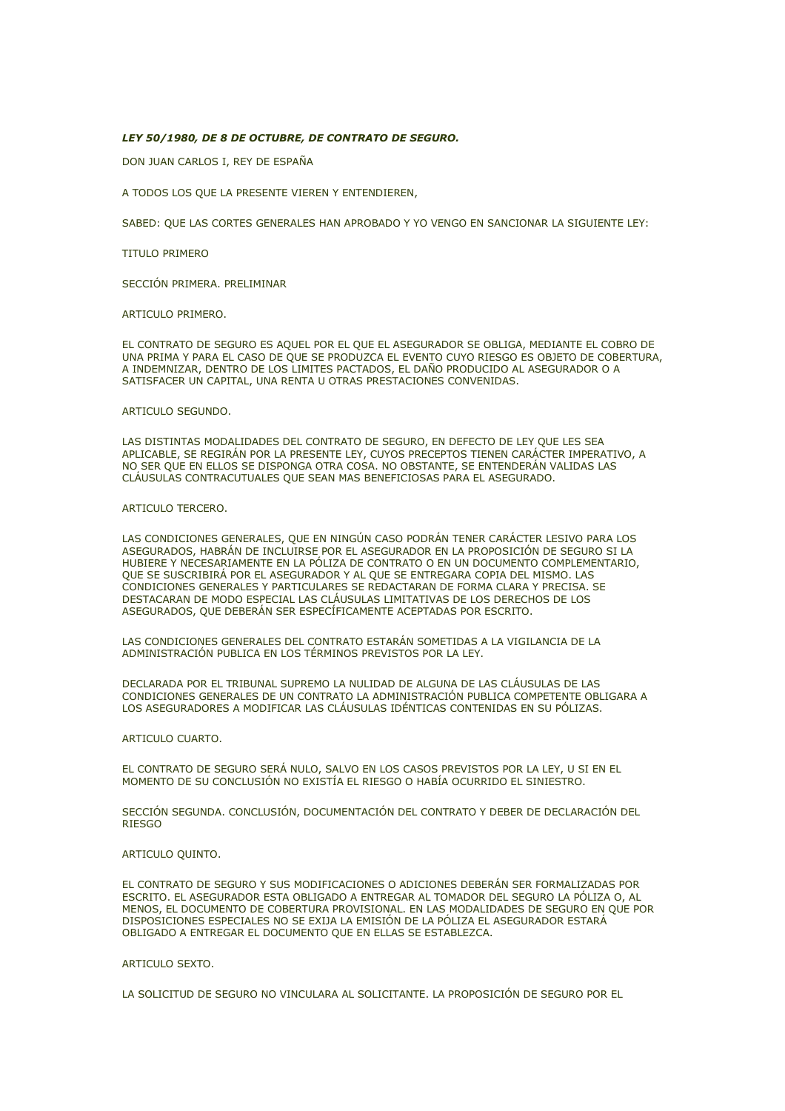## LEY 50/1980, DE 8 DE OCTUBRE, DE CONTRATO DE SEGURO.

DON JUAN CARLOS I, REY DE ESPAÑA

A TODOS LOS QUE LA PRESENTE VIEREN Y ENTENDIEREN,

SABED: QUE LAS CORTES GENERALES HAN APROBADO Y YO VENGO EN SANCIONAR LA SIGUIENTE LEY:

TITULO PRIMERO

SECCIÓN PRIMERA. PRELIMINAR

ARTICULO PRIMERO.

EL CONTRATO DE SEGURO ES AQUEL POR EL QUE EL ASEGURADOR SE OBLIGA, MEDIANTE EL COBRO DE UNA PRIMA Y PARA EL CASO DE QUE SE PRODUZCA EL EVENTO CUYO RIESGO ES OBJETO DE COBERTURA, A INDEMNIZAR, DENTRO DE LOS LIMITES PACTADOS, EL DAÑO PRODUCIDO AL ASEGURADOR O A SATISFACER UN CAPITAL, UNA RENTA U OTRAS PRESTACIONES CONVENIDAS.

### ARTICULO SEGUNDO.

LAS DISTINTAS MODALIDADES DEL CONTRATO DE SEGURO, EN DEFECTO DE LEY QUE LES SEA APLICABLE, SE REGIRÁN POR LA PRESENTE LEY, CUYOS PRECEPTOS TIENEN CARÁCTER IMPERATIVO, A NO SER QUE EN ELLOS SE DISPONGA OTRA COSA. NO OBSTANTE, SE ENTENDERÁN VALIDAS LAS CLÁUSULAS CONTRACUTUALES QUE SEAN MAS BENEFICIOSAS PARA EL ASEGURADO.

## ARTICULO TERCERO.

LAS CONDICIONES GENERALES, QUE EN NINGÚN CASO PODRÁN TENER CARÁCTER LESIVO PARA LOS ASEGURADOS, HABRÁN DE INCLUIRSE POR EL ASEGURADOR EN LA PROPOSICIÓN DE SEGURO SI LA HUBIERE Y NECESARIAMENTE EN LA PÓLIZA DE CONTRATO O EN UN DOCUMENTO COMPLEMENTARIO, QUE SE SUSCRIBIRÁ POR EL ASEGURADOR Y AL QUE SE ENTREGARA COPIA DEL MISMO. LAS CONDICIONES GENERALES Y PARTICULARES SE REDACTARAN DE FORMA CLARA Y PRECISA. SE DESTACARAN DE MODO ESPECIAL LAS CLÁUSULAS LIMITATIVAS DE LOS DERECHOS DE LOS ASEGURADOS, QUE DEBERÁN SER ESPECÍFICAMENTE ACEPTADAS POR ESCRITO.

LAS CONDICIONES GENERALES DEL CONTRATO ESTARÁN SOMETIDAS A LA VIGILANCIA DE LA ADMINISTRACIÓN PUBLICA EN LOS TÉRMINOS PREVISTOS POR LA LEY.

DECLARADA POR EL TRIBUNAL SUPREMO LA NULIDAD DE ALGUNA DE LAS CLÁUSULAS DE LAS CONDICIONES GENERALES DE UN CONTRATO LA ADMINISTRACIÓN PUBLICA COMPETENTE OBLIGARA A LOS ASEGURADORES A MODIFICAR LAS CLÁUSULAS IDÉNTICAS CONTENIDAS EN SU PÓLIZAS.

### ARTICULO CUARTO.

EL CONTRATO DE SEGURO SERÁ NULO, SALVO EN LOS CASOS PREVISTOS POR LA LEY, U SI EN EL MOMENTO DE SU CONCLUSIÓN NO EXISTÍA EL RIESGO O HABÍA OCURRIDO EL SINIESTRO.

SECCIÓN SEGUNDA. CONCLUSIÓN, DOCUMENTACIÓN DEL CONTRATO Y DEBER DE DECLARACIÓN DEL RIESGO

### ARTICULO QUINTO.

EL CONTRATO DE SEGURO Y SUS MODIFICACIONES O ADICIONES DEBERÁN SER FORMALIZADAS POR ESCRITO. EL ASEGURADOR ESTA OBLIGADO A ENTREGAR AL TOMADOR DEL SEGURO LA PÓLIZA O, AL MENOS, EL DOCUMENTO DE COBERTURA PROVISIONAL. EN LAS MODALIDADES DE SEGURO EN QUE POR DISPOSICIONES ESPECIALES NO SE EXIJA LA EMISIÓN DE LA PÓLIZA EL ASEGURADOR ESTARÁ OBLIGADO A ENTREGAR EL DOCUMENTO QUE EN ELLAS SE ESTABLEZCA.

## ARTICULO SEXTO.

LA SOLICITUD DE SEGURO NO VINCULARA AL SOLICITANTE. LA PROPOSICIÓN DE SEGURO POR EL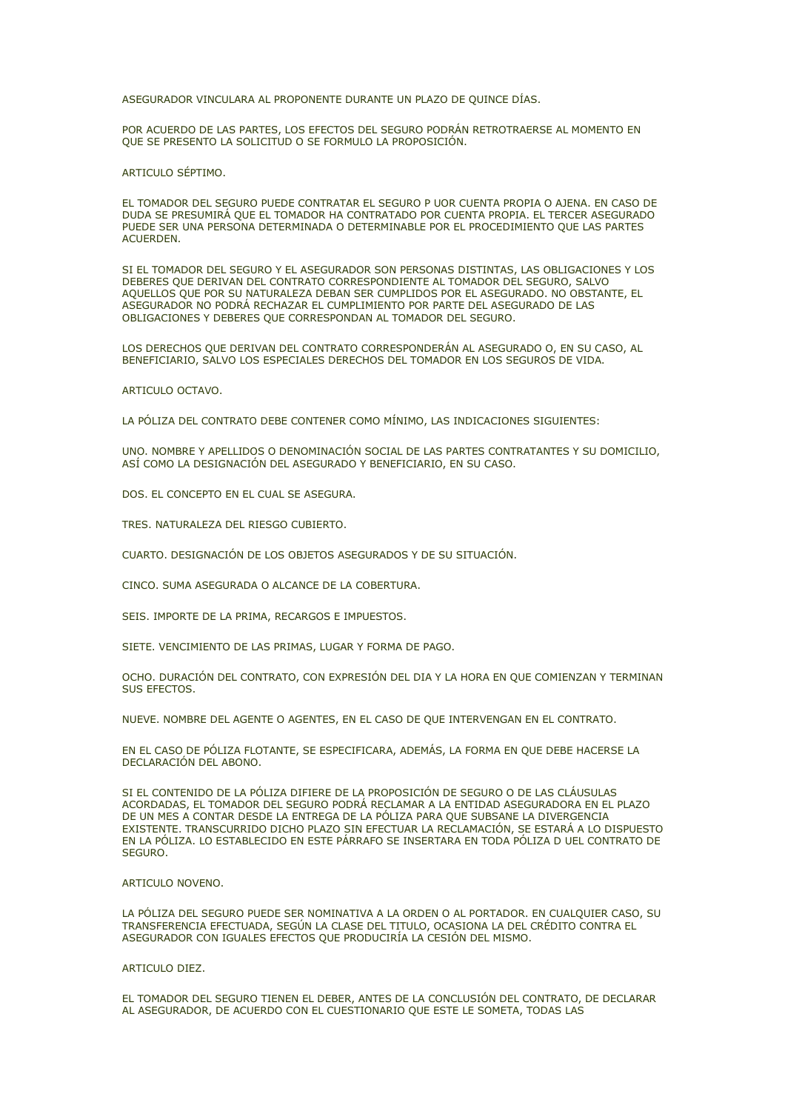ASEGURADOR VINCULARA AL PROPONENTE DURANTE UN PLAZO DE QUINCE DÍAS.

POR ACUERDO DE LAS PARTES, LOS EFECTOS DEL SEGURO PODRÁN RETROTRAERSE AL MOMENTO EN QUE SE PRESENTO LA SOLICITUD O SE FORMULO LA PROPOSICIÓN.

ARTICULO SÉPTIMO.

EL TOMADOR DEL SEGURO PUEDE CONTRATAR EL SEGURO P UOR CUENTA PROPIA O AJENA. EN CASO DE DUDA SE PRESUMIRÁ QUE EL TOMADOR HA CONTRATADO POR CUENTA PROPIA. EL TERCER ASEGURADO PUEDE SER UNA PERSONA DETERMINADA O DETERMINABLE POR EL PROCEDIMIENTO QUE LAS PARTES **ACUERDEN** 

SI EL TOMADOR DEL SEGURO Y EL ASEGURADOR SON PERSONAS DISTINTAS, LAS OBLIGACIONES Y LOS DEBERES QUE DERIVAN DEL CONTRATO CORRESPONDIENTE AL TOMADOR DEL SEGURO, SALVO AQUELLOS QUE POR SU NATURALEZA DEBAN SER CUMPLIDOS POR EL ASEGURADO. NO OBSTANTE, EL ASEGURADOR NO PODRÁ RECHAZAR EL CUMPLIMIENTO POR PARTE DEL ASEGURADO DE LAS OBLIGACIONES Y DEBERES QUE CORRESPONDAN AL TOMADOR DEL SEGURO.

LOS DERECHOS QUE DERIVAN DEL CONTRATO CORRESPONDERÁN AL ASEGURADO O, EN SU CASO, AL BENEFICIARIO, SALVO LOS ESPECIALES DERECHOS DEL TOMADOR EN LOS SEGUROS DE VIDA.

ARTICULO OCTAVO.

LA PÓLIZA DEL CONTRATO DEBE CONTENER COMO MÍNIMO, LAS INDICACIONES SIGUIENTES:

UNO. NOMBRE Y APELLIDOS O DENOMINACIÓN SOCIAL DE LAS PARTES CONTRATANTES Y SU DOMICILIO, ASÍ COMO LA DESIGNACIÓN DEL ASEGURADO Y BENEFICIARIO, EN SU CASO.

DOS. EL CONCEPTO EN EL CUAL SE ASEGURA.

TRES. NATURALEZA DEL RIESGO CUBIERTO.

CUARTO. DESIGNACIÓN DE LOS OBJETOS ASEGURADOS Y DE SU SITUACIÓN.

CINCO. SUMA ASEGURADA O ALCANCE DE LA COBERTURA.

SEIS. IMPORTE DE LA PRIMA, RECARGOS E IMPUESTOS.

SIETE. VENCIMIENTO DE LAS PRIMAS, LUGAR Y FORMA DE PAGO.

OCHO. DURACIÓN DEL CONTRATO, CON EXPRESIÓN DEL DIA Y LA HORA EN QUE COMIENZAN Y TERMINAN SUS EFECTOS.

NUEVE. NOMBRE DEL AGENTE O AGENTES, EN EL CASO DE QUE INTERVENGAN EN EL CONTRATO.

EN EL CASO DE PÓLIZA FLOTANTE, SE ESPECIFICARA, ADEMÁS, LA FORMA EN QUE DEBE HACERSE LA DECLARACIÓN DEL ABONO.

SI EL CONTENIDO DE LA PÓLIZA DIFIERE DE LA PROPOSICIÓN DE SEGURO O DE LAS CLÁUSULAS ACORDADAS, EL TOMADOR DEL SEGURO PODRÁ RECLAMAR A LA ENTIDAD ASEGURADORA EN EL PLAZO DE UN MES A CONTAR DESDE LA ENTREGA DE LA PÓLIZA PARA QUE SUBSANE LA DIVERGENCIA EXISTENTE. TRANSCURRIDO DICHO PLAZO SIN EFECTUAR LA RECLAMACIÓN, SE ESTARÁ A LO DISPUESTO EN LA PÓLIZA. LO ESTABLECIDO EN ESTE PÁRRAFO SE INSERTARA EN TODA PÓLIZA D UEL CONTRATO DE **SEGURO** 

### ARTICULO NOVENO.

LA PÓLIZA DEL SEGURO PUEDE SER NOMINATIVA A LA ORDEN O AL PORTADOR. EN CUALQUIER CASO, SU TRANSFERENCIA EFECTUADA, SEGÚN LA CLASE DEL TITULO, OCASIONA LA DEL CRÉDITO CONTRA EL ASEGURADOR CON IGUALES EFECTOS QUE PRODUCIRÍA LA CESIÓN DEL MISMO.

### ARTICULO DIEZ.

EL TOMADOR DEL SEGURO TIENEN EL DEBER, ANTES DE LA CONCLUSIÓN DEL CONTRATO, DE DECLARAR AL ASEGURADOR, DE ACUERDO CON EL CUESTIONARIO QUE ESTE LE SOMETA, TODAS LAS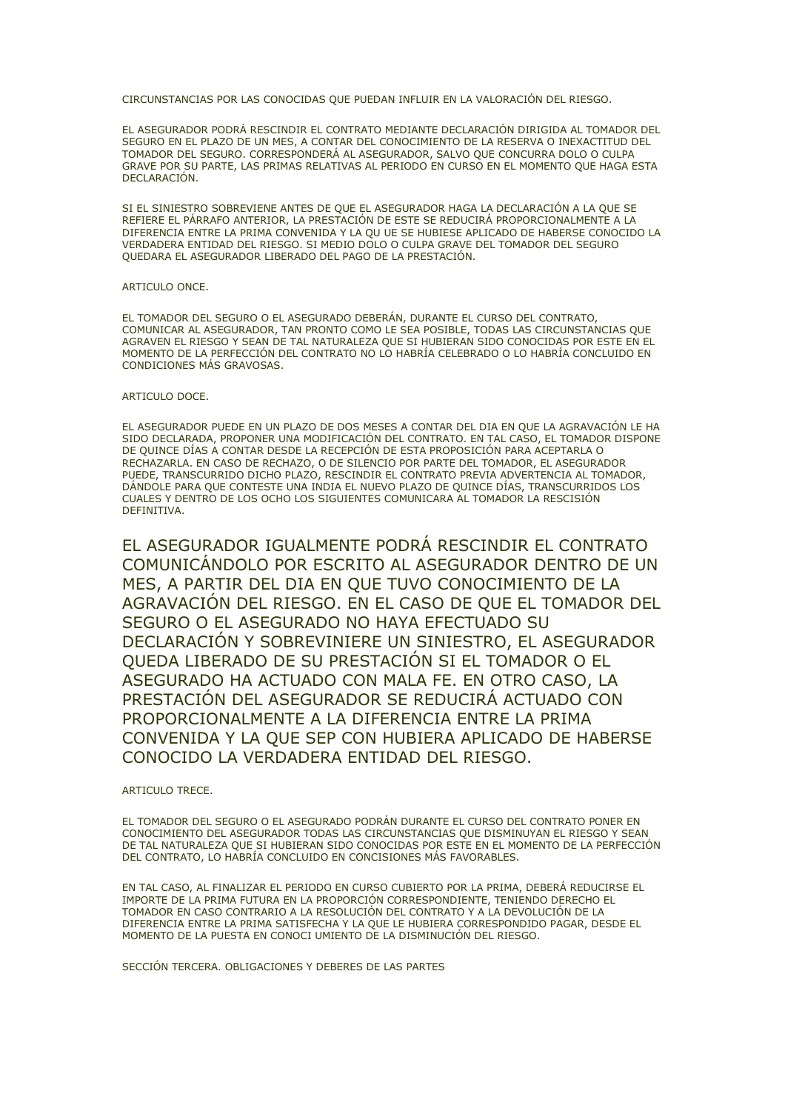CIRCUNSTANCIAS POR LAS CONOCIDAS QUE PUEDAN INFLUIR EN LA VALORACIÓN DEL RIESGO.

EL ASEGURADOR PODRÁ RESCINDIR EL CONTRATO MEDIANTE DECLARACIÓN DIRIGIDA AL TOMADOR DEL SEGURO EN EL PLAZO DE UN MES, A CONTAR DEL CONOCIMIENTO DE LA RESERVA O INEXACTITUD DEL TOMADOR DEL SEGURO. CORRESPONDERÁ AL ASEGURADOR, SALVO QUE CONCURRA DOLO O CULPA GRAVE POR SU PARTE, LAS PRIMAS RELATIVAS AL PERIODO EN CURSO EN EL MOMENTO QUE HAGA ESTA DECLARACIÓN.

SI EL SINIESTRO SOBREVIENE ANTES DE QUE EL ASEGURADOR HAGA LA DECLARACIÓN A LA QUE SE REFIERE EL PÁRRAFO ANTERIOR, LA PRESTACIÓN DE ESTE SE REDUCIRÁ PROPORCIONALMENTE A LA DIFERENCIA ENTRE LA PRIMA CONVENIDA Y LA QU UE SE HUBIESE APLICADO DE HABERSE CONOCIDO LA VERDADERA ENTIDAD DEL RIESGO. SI MEDIO DOLO O CULPA GRAVE DEL TOMADOR DEL SEGURO QUEDARA EL ASEGURADOR LIBERADO DEL PAGO DE LA PRESTACIÓN.

### ARTICULO ONCE

EL TOMADOR DEL SEGURO O EL ASEGURADO DEBERÁN, DURANTE EL CURSO DEL CONTRATO, COMUNICAR AL ASEGURADOR, TAN PRONTO COMO LE SEA POSIBLE, TODAS LAS CIRCUNSTANCIAS QUE AGRAVEN EL RIESGO Y SEAN DE TAL NATURALEZA QUE SI HUBIERAN SIDO CONOCIDAS POR ESTE EN EL MOMENTO DE LA PERFECCIÓN DEL CONTRATO NO LO HABRÍA CELEBRADO O LO HABRÍA CONCLUIDO EN CONDICIONES MÁS GRAVOSAS.

## ARTICULO DOCE.

EL ASEGURADOR PUEDE EN UN PLAZO DE DOS MESES A CONTAR DEL DIA EN QUE LA AGRAVACIÓN LE HA SIDO DECLARADA, PROPONER UNA MODIFICACIÓN DEL CONTRATO. EN TAL CASO, EL TOMADOR DISPONE DE QUINCE DÍAS A CONTAR DESDE LA RECEPCIÓN DE ESTA PROPOSICIÓN PARA ACEPTARLA O RECHAZARLA. EN CASO DE RECHAZO, O DE SILENCIO POR PARTE DEL TOMADOR, EL ASEGURADOR PUEDE, TRANSCURRIDO DICHO PLAZO, RESCINDIR EL CONTRATO PREVIA ADVERTENCIA AL TOMADOR, DÁNDOLE PARA QUE CONTESTE UNA INDIA EL NUEVO PLAZO DE QUINCE DÍAS, TRANSCURRIDOS LOS CUALES Y DENTRO DE LOS OCHO LOS SIGUIENTES COMUNICARA AL TOMADOR LA RESCISIÓN DEFINITIVA.

EL ASEGURADOR IGUALMENTE PODRÁ RESCINDIR EL CONTRATO COMUNICÁNDOLO POR ESCRITO AL ASEGURADOR DENTRO DE UN MES, A PARTIR DEL DIA EN QUE TUVO CONOCIMIENTO DE LA AGRAVACIÓN DEL RIESGO. EN EL CASO DE QUE EL TOMADOR DEL SEGURO O EL ASEGURADO NO HAYA EFECTUADO SU DECLARACIÓN Y SOBREVINIERE UN SINIESTRO, EL ASEGURADOR QUEDA LIBERADO DE SU PRESTACIÓN SI EL TOMADOR O EL ASEGURADO HA ACTUADO CON MALA FE. EN OTRO CASO, LA PRESTACIÓN DEL ASEGURADOR SE REDUCIRÁ ACTUADO CON PROPORCIONALMENTE A LA DIFERENCIA ENTRE LA PRIMA CONVENIDA Y LA QUE SEP CON HUBIERA APLICADO DE HABERSE CONOCIDO LA VERDADERA ENTIDAD DEL RIESGO.

## ARTICULO TRECE

EL TOMADOR DEL SEGURO O EL ASEGURADO PODRÁN DURANTE EL CURSO DEL CONTRATO PONER EN CONOCIMIENTO DEL ASEGURADOR TODAS LAS CIRCUNSTANCIAS QUE DISMINUYAN EL RIESGO Y SEAN DE TAL NATURALEZA QUE SI HUBIERAN SIDO CONOCIDAS POR ESTE EN EL MOMENTO DE LA PERFECCIÓN DEL CONTRATO, LO HABRÍA CONCLUIDO EN CONCISIONES MÁS FAVORABLES.

EN TAL CASO, AL FINALIZAR EL PERIODO EN CURSO CUBIERTO POR LA PRIMA, DEBERÁ REDUCIRSE EL IMPORTE DE LA PRIMA FUTURA EN LA PROPORCIÓN CORRESPONDIENTE, TENIENDO DERECHO EL TOMADOR EN CASO CONTRARIO A LA RESOLUCIÓN DEL CONTRATO Y A LA DEVOLUCIÓN DE LA DIFERENCIA ENTRE LA PRIMA SATISFECHA Y LA QUE LE HUBIERA CORRESPONDIDO PAGAR, DESDE EL MOMENTO DE LA PUESTA EN CONOCI UMIENTO DE LA DISMINUCIÓN DEL RIESGO.

SECCIÓN TERCERA. OBLIGACIONES Y DEBERES DE LAS PARTES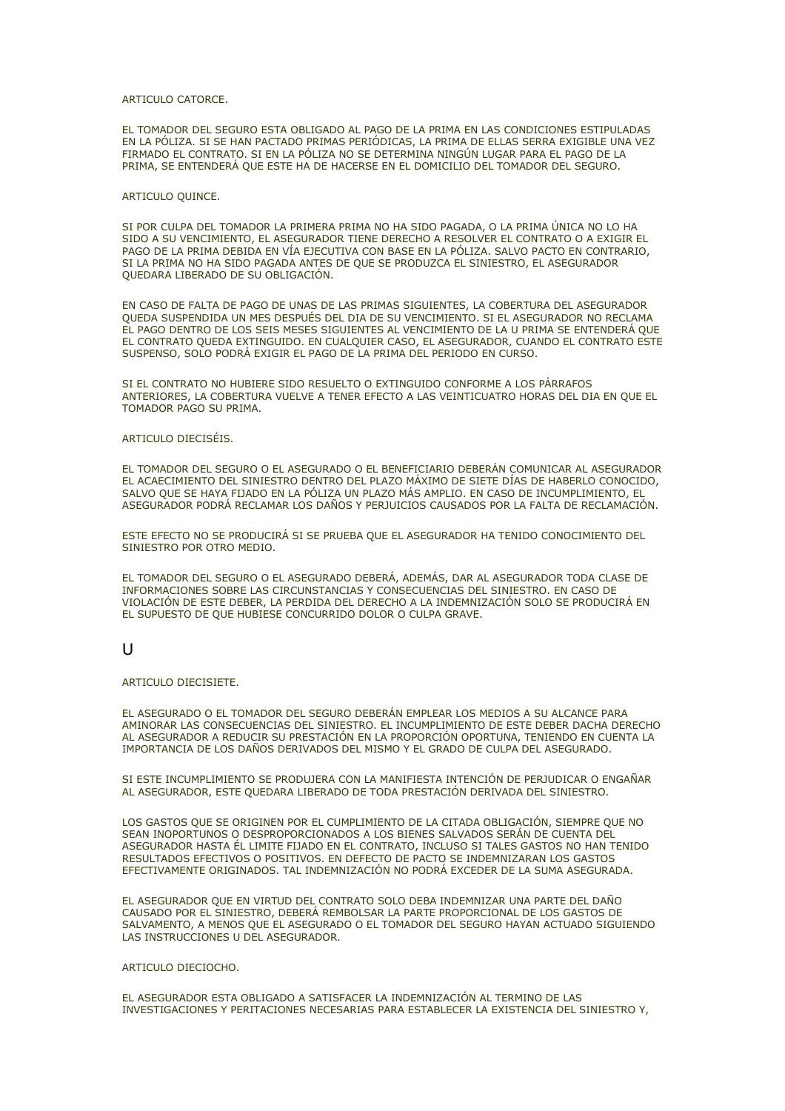#### ARTICULO CATORCE

EL TOMADOR DEL SEGURO ESTA OBLIGADO AL PAGO DE LA PRIMA EN LAS CONDICIONES ESTIPULADAS EN LA PÓLIZA. SI SE HAN PACTADO PRIMAS PERIÓDICAS, LA PRIMA DE ELLAS SERRA EXIGIBLE UNA VEZ FIRMADO EL CONTRATO. SI EN LA PÓLIZA NO SE DETERMINA NINGÚN LUGAR PARA EL PAGO DE LA PRIMA, SE ENTENDERÁ QUE ESTE HA DE HACERSE EN EL DOMICILIO DEL TOMADOR DEL SEGURO.

## ARTICULO QUINCE.

SI POR CULPA DEL TOMADOR LA PRIMERA PRIMA NO HA SIDO PAGADA, O LA PRIMA ÚNICA NO LO HA SIDO A SU VENCIMIENTO, EL ASEGURADOR TIENE DERECHO A RESOLVER EL CONTRATO O A EXIGIR EL PAGO DE LA PRIMA DEBIDA EN VÍA EJECUTIVA CON BASE EN LA PÓLIZA. SALVO PACTO EN CONTRARIO, SI LA PRIMA NO HA SIDO PAGADA ANTES DE QUE SE PRODUZCA EL SINIESTRO, EL ASEGURADOR QUEDARA LIBERADO DE SU OBLIGACIÓN.

EN CASO DE FALTA DE PAGO DE UNAS DE LAS PRIMAS SIGUIENTES, LA COBERTURA DEL ASEGURADOR QUEDA SUSPENDIDA UN MES DESPUÉS DEL DIA DE SU VENCIMIENTO. SI EL ASEGURADOR NO RECLAMA EL PAGO DENTRO DE LOS SEIS MESES SIGUIENTES AL VENCIMIENTO DE LA U PRIMA SE ENTENDERÁ QUE EL CONTRATO QUEDA EXTINGUIDO. EN CUALQUIER CASO, EL ASEGURADOR, CUANDO EL CONTRATO ESTE SUSPENSO, SOLO PODRÁ EXIGIR EL PAGO DE LA PRIMA DEL PERIODO EN CURSO.

SI EL CONTRATO NO HUBIERE SIDO RESUELTO O EXTINGUIDO CONFORME A LOS PÁRRAFOS ANTERIORES, LA COBERTURA VUELVE A TENER EFECTO A LAS VEINTICUATRO HORAS DEL DIA EN QUE EL TOMADOR PAGO SU PRIMA.

## ARTICULO DIECISÉIS.

EL TOMADOR DEL SEGURO O EL ASEGURADO O EL BENEFICIARIO DEBERÁN COMUNICAR AL ASEGURADOR EL ACAECIMIENTO DEL SINIESTRO DENTRO DEL PLAZO MÁXIMO DE SIETE DÍAS DE HABERLO CONOCIDO, SALVO QUE SE HAYA FIJADO EN LA PÓLIZA UN PLAZO MÁS AMPLIO. EN CASO DE INCUMPLIMIENTO, EL ASEGURADOR PODRÁ RECLAMAR LOS DAÑOS Y PERJUICIOS CAUSADOS POR LA FALTA DE RECLAMACIÓN.

ESTE EFECTO NO SE PRODUCIRÁ SI SE PRUEBA QUE EL ASEGURADOR HA TENIDO CONOCIMIENTO DEL SINIESTRO POR OTRO MEDIO.

EL TOMADOR DEL SEGURO O EL ASEGURADO DEBERÁ, ADEMÁS, DAR AL ASEGURADOR TODA CLASE DE INFORMACIONES SOBRE LAS CIRCUNSTANCIAS Y CONSECUENCIAS DEL SINIESTRO. EN CASO DE VIOLACIÓN DE ESTE DEBER, LA PERDIDA DEL DERECHO A LA INDEMNIZACIÓN SOLO SE PRODUCIRÁ EN EL SUPUESTO DE QUE HUBIESE CONCURRIDO DOLOR O CULPA GRAVE.

# U

### ARTICULO DIECISIETE.

EL ASEGURADO O EL TOMADOR DEL SEGURO DEBERÁN EMPLEAR LOS MEDIOS A SU ALCANCE PARA AMINORAR LAS CONSECUENCIAS DEL SINIESTRO. EL INCUMPLIMIENTO DE ESTE DEBER DACHA DERECHO AL ASEGURADOR A REDUCIR SU PRESTACIÓN EN LA PROPORCIÓN OPORTUNA, TENIENDO EN CUENTA LA IMPORTANCIA DE LOS DAÑOS DERIVADOS DEL MISMO Y EL GRADO DE CULPA DEL ASEGURADO.

SI ESTE INCUMPLIMIENTO SE PRODUJERA CON LA MANIFIESTA INTENCIÓN DE PERJUDICAR O ENGAÑAR AL ASEGURADOR, ESTE QUEDARA LIBERADO DE TODA PRESTACIÓN DERIVADA DEL SINIESTRO.

LOS GASTOS QUE SE ORIGINEN POR EL CUMPLIMIENTO DE LA CITADA OBLIGACIÓN, SIEMPRE QUE NO SEAN INOPORTUNOS O DESPROPORCIONADOS A LOS BIENES SALVADOS SERÁN DE CUENTA DEL ASEGURADOR HASTA ÉL LIMITE FIJADO EN EL CONTRATO, INCLUSO SI TALES GASTOS NO HAN TENIDO RESULTADOS EFECTIVOS O POSITIVOS. EN DEFECTO DE PACTO SE INDEMNIZARAN LOS GASTOS EFECTIVAMENTE ORIGINADOS. TAL INDEMNIZACIÓN NO PODRÁ EXCEDER DE LA SUMA ASEGURADA.

EL ASEGURADOR QUE EN VIRTUD DEL CONTRATO SOLO DEBA INDEMNIZAR UNA PARTE DEL DAÑO CAUSADO POR EL SINIESTRO, DEBERÁ REMBOLSAR LA PARTE PROPORCIONAL DE LOS GASTOS DE SALVAMENTO, A MENOS QUE EL ASEGURADO O EL TOMADOR DEL SEGURO HAYAN ACTUADO SIGUIENDO LAS INSTRUCCIONES U DEL ASEGURADOR.

## ARTICULO DIECIOCHO.

EL ASEGURADOR ESTA OBLIGADO A SATISFACER LA INDEMNIZACIÓN AL TERMINO DE LAS INVESTIGACIONES Y PERITACIONES NECESARIAS PARA ESTABLECER LA EXISTENCIA DEL SINIESTRO Y,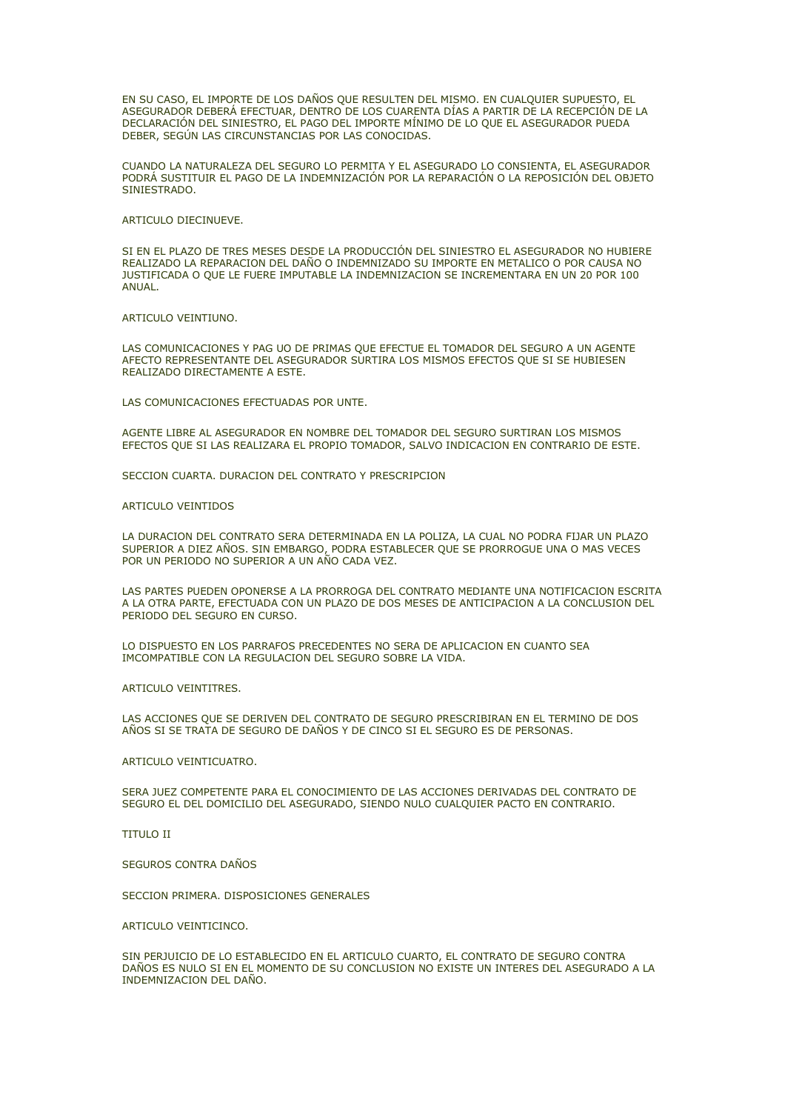EN SU CASO, EL IMPORTE DE LOS DAÑOS QUE RESULTEN DEL MISMO. EN CUALQUIER SUPUESTO, EL ASEGURADOR DEBERÁ EFECTUAR, DENTRO DE LOS CUARENTA DÍAS A PARTIR DE LA RECEPCIÓN DE LA DECLARACIÓN DEL SINIESTRO, EL PAGO DEL IMPORTE MÍNIMO DE LO QUE EL ASEGURADOR PUEDA DEBER, SEGÚN LAS CIRCUNSTANCIAS POR LAS CONOCIDAS.

CUANDO LA NATURALEZA DEL SEGURO LO PERMITA Y EL ASEGURADO LO CONSIENTA, EL ASEGURADOR PODRÁ SUSTITUIR EL PAGO DE LA INDEMNIZACIÓN POR LA REPARACIÓN O LA REPOSICIÓN DEL OBJETO SINIESTRADO.

ARTICULO DIECINUEVE.

SI EN EL PLAZO DE TRES MESES DESDE LA PRODUCCIÓN DEL SINIESTRO EL ASEGURADOR NO HUBIERE REALIZADO LA REPARACION DEL DAÑO O INDEMNIZADO SU IMPORTE EN METALICO O POR CAUSA NO JUSTIFICADA O QUE LE FUERE IMPUTABLE LA INDEMNIZACION SE INCREMENTARA EN UN 20 POR 100 ANUAL.

ARTICULO VEINTIUNO.

LAS COMUNICACIONES Y PAG UO DE PRIMAS QUE EFECTUE EL TOMADOR DEL SEGURO A UN AGENTE AFECTO REPRESENTANTE DEL ASEGURADOR SURTIRA LOS MISMOS EFECTOS QUE SI SE HUBIESEN REALIZADO DIRECTAMENTE A ESTE.

LAS COMUNICACIONES EFECTUADAS POR UNTE.

AGENTE LIBRE AL ASEGURADOR EN NOMBRE DEL TOMADOR DEL SEGURO SURTIRAN LOS MISMOS EFECTOS QUE SI LAS REALIZARA EL PROPIO TOMADOR, SALVO INDICACION EN CONTRARIO DE ESTE.

SECCION CUARTA. DURACION DEL CONTRATO Y PRESCRIPCION

#### ARTICULO VEINTIDOS

LA DURACION DEL CONTRATO SERA DETERMINADA EN LA POLIZA, LA CUAL NO PODRA FIJAR UN PLAZO SUPERIOR A DIEZ AÑOS. SIN EMBARGO, PODRA ESTABLECER QUE SE PRORROGUE UNA O MAS VECES POR UN PERIODO NO SUPERIOR A UN AÑO CADA VEZ.

LAS PARTES PUEDEN OPONERSE A LA PRORROGA DEL CONTRATO MEDIANTE UNA NOTIFICACION ESCRITA A LA OTRA PARTE, EFECTUADA CON UN PLAZO DE DOS MESES DE ANTICIPACION A LA CONCLUSION DEL PERIODO DEL SEGURO EN CURSO.

LO DISPUESTO EN LOS PARRAFOS PRECEDENTES NO SERA DE APLICACION EN CUANTO SEA IMCOMPATIBLE CON LA REGULACION DEL SEGURO SOBRE LA VIDA.

ARTICULO VEINTITRES.

LAS ACCIONES QUE SE DERIVEN DEL CONTRATO DE SEGURO PRESCRIBIRAN EN EL TERMINO DE DOS AÑOS SI SE TRATA DE SEGURO DE DAÑOS Y DE CINCO SI EL SEGURO ES DE PERSONAS.

## ARTICULO VEINTICUATRO.

SERA JUEZ COMPETENTE PARA EL CONOCIMIENTO DE LAS ACCIONES DERIVADAS DEL CONTRATO DE SEGURO EL DEL DOMICILIO DEL ASEGURADO, SIENDO NULO CUALQUIER PACTO EN CONTRARIO.

TITULO II

SEGUROS CONTRA DAÑOS

SECCION PRIMERA. DISPOSICIONES GENERALES

ARTICULO VEINTICINCO.

SIN PERJUICIO DE LO ESTABLECIDO EN EL ARTICULO CUARTO, EL CONTRATO DE SEGURO CONTRA DAÑOS ES NULO SI EN EL MOMENTO DE SU CONCLUSION NO EXISTE UN INTERES DEL ASEGURADO A LA INDEMNIZACION DEL DAÑO.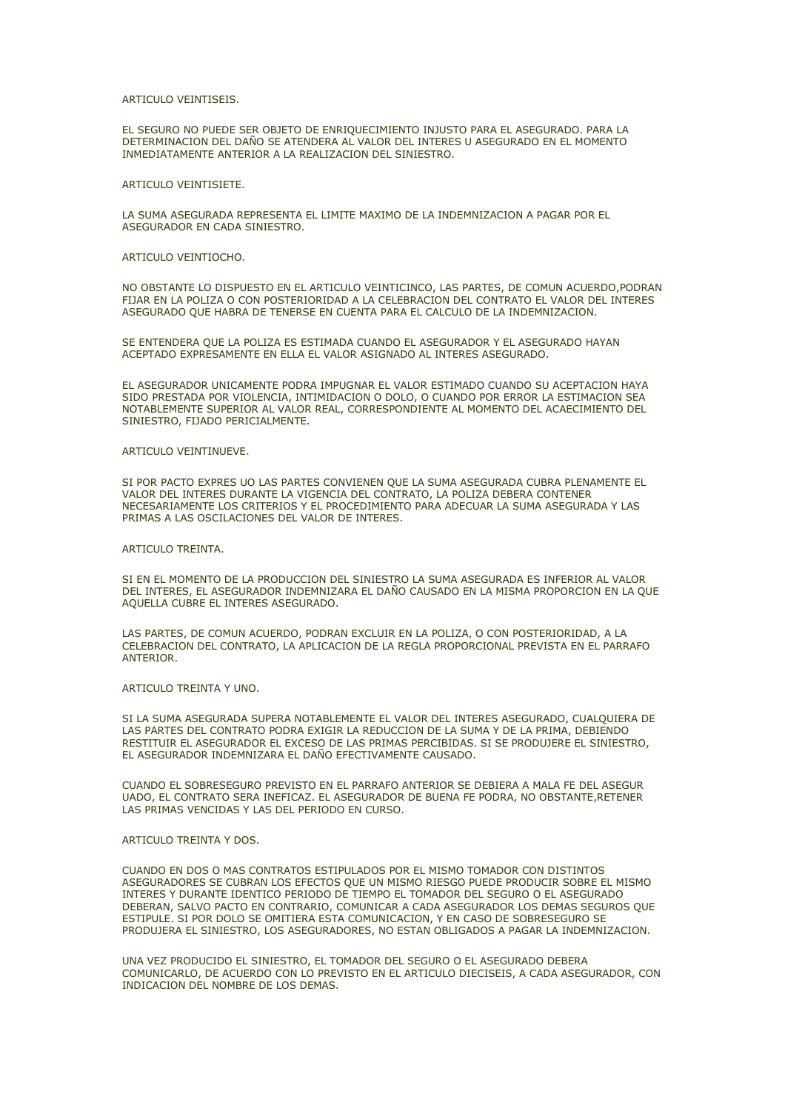### ARTICULO VEINTISEIS.

EL SEGURO NO PUEDE SER OBJETO DE ENRIQUECIMIENTO INJUSTO PARA EL ASEGURADO. PARA LA DETERMINACION DEL DAÑO SE ATENDERA AL VALOR DEL INTERES U ASEGURADO EN EL MOMENTO INMEDIATAMENTE ANTERIOR A LA REALIZACION DEL SINIESTRO.

### ARTICULO VEINTISIETE.

LA SUMA ASEGURADA REPRESENTA EL LIMITE MAXIMO DE LA INDEMNIZACION A PAGAR POR EL ASEGURADOR EN CADA SINIESTRO.

# ARTICULO VEINTIOCHO.

NO OBSTANTE LO DISPUESTO EN EL ARTICULO VEINTICINCO, LAS PARTES, DE COMUN ACUERDO,PODRAN FIJAR EN LA POLIZA O CON POSTERIORIDAD A LA CELEBRACION DEL CONTRATO EL VALOR DEL INTERES ASEGURADO QUE HABRA DE TENERSE EN CUENTA PARA EL CALCULO DE LA INDEMNIZACION.

SE ENTENDERA QUE LA POLIZA ES ESTIMADA CUANDO EL ASEGURADOR Y EL ASEGURADO HAYAN ACEPTADO EXPRESAMENTE EN ELLA EL VALOR ASIGNADO AL INTERES ASEGURADO.

EL ASEGURADOR UNICAMENTE PODRA IMPUGNAR EL VALOR ESTIMADO CUANDO SU ACEPTACION HAYA SIDO PRESTADA POR VIOLENCIA, INTIMIDACION O DOLO, O CUANDO POR ERROR LA ESTIMACION SEA NOTABLEMENTE SUPERIOR AL VALOR REAL, CORRESPONDIENTE AL MOMENTO DEL ACAECIMIENTO DEL SINIESTRO, FIJADO PERICIALMENTE.

#### ARTICULO VEINTINUEVE.

SI POR PACTO EXPRES UO LAS PARTES CONVIENEN QUE LA SUMA ASEGURADA CUBRA PLENAMENTE EL VALOR DEL INTERES DURANTE LA VIGENCIA DEL CONTRATO, LA POLIZA DEBERA CONTENER NECESARIAMENTE LOS CRITERIOS Y EL PROCEDIMIENTO PARA ADECUAR LA SUMA ASEGURADA Y LAS PRIMAS A LAS OSCILACIONES DEL VALOR DE INTERES.

### ARTICULO TREINTA.

SI EN EL MOMENTO DE LA PRODUCCION DEL SINIESTRO LA SUMA ASEGURADA ES INFERIOR AL VALOR DEL INTERES, EL ASEGURADOR INDEMNIZARA EL DAÑO CAUSADO EN LA MISMA PROPORCION EN LA QUE AQUELLA CUBRE EL INTERES ASEGURADO.

LAS PARTES, DE COMUN ACUERDO, PODRAN EXCLUIR EN LA POLIZA, O CON POSTERIORIDAD, A LA CELEBRACION DEL CONTRATO, LA APLICACION DE LA REGLA PROPORCIONAL PREVISTA EN EL PARRAFO ANTERIOR.

### ARTICULO TREINTA Y UNO.

SI LA SUMA ASEGURADA SUPERA NOTABLEMENTE EL VALOR DEL INTERES ASEGURADO, CUALQUIERA DE LAS PARTES DEL CONTRATO PODRA EXIGIR LA REDUCCION DE LA SUMA Y DE LA PRIMA, DEBIENDO RESTITUIR EL ASEGURADOR EL EXCESO DE LAS PRIMAS PERCIBIDAS. SI SE PRODUJERE EL SINIESTRO, EL ASEGURADOR INDEMNIZARA EL DAÑO EFECTIVAMENTE CAUSADO.

CUANDO EL SOBRESEGURO PREVISTO EN EL PARRAFO ANTERIOR SE DEBIERA A MALA FE DEL ASEGUR UADO, EL CONTRATO SERA INEFICAZ. EL ASEGURADOR DE BUENA FE PODRA, NO OBSTANTE,RETENER LAS PRIMAS VENCIDAS Y LAS DEL PERIODO EN CURSO.

#### ARTICULO TREINTA Y DOS.

CUANDO EN DOS O MAS CONTRATOS ESTIPULADOS POR EL MISMO TOMADOR CON DISTINTOS ASEGURADORES SE CUBRAN LOS EFECTOS QUE UN MISMO RIESGO PUEDE PRODUCIR SOBRE EL MISMO INTERES Y DURANTE IDENTICO PERIODO DE TIEMPO EL TOMADOR DEL SEGURO O EL ASEGURADO DEBERAN, SALVO PACTO EN CONTRARIO, COMUNICAR A CADA ASEGURADOR LOS DEMAS SEGUROS QUE ESTIPULE. SI POR DOLO SE OMITIERA ESTA COMUNICACION, Y EN CASO DE SOBRESEGURO SE PRODUJERA EL SINIESTRO, LOS ASEGURADORES, NO ESTAN OBLIGADOS A PAGAR LA INDEMNIZACION.

UNA VEZ PRODUCIDO EL SINIESTRO, EL TOMADOR DEL SEGURO O EL ASEGURADO DEBERA COMUNICARLO, DE ACUERDO CON LO PREVISTO EN EL ARTICULO DIECISEIS, A CADA ASEGURADOR, CON INDICACION DEL NOMBRE DE LOS DEMAS.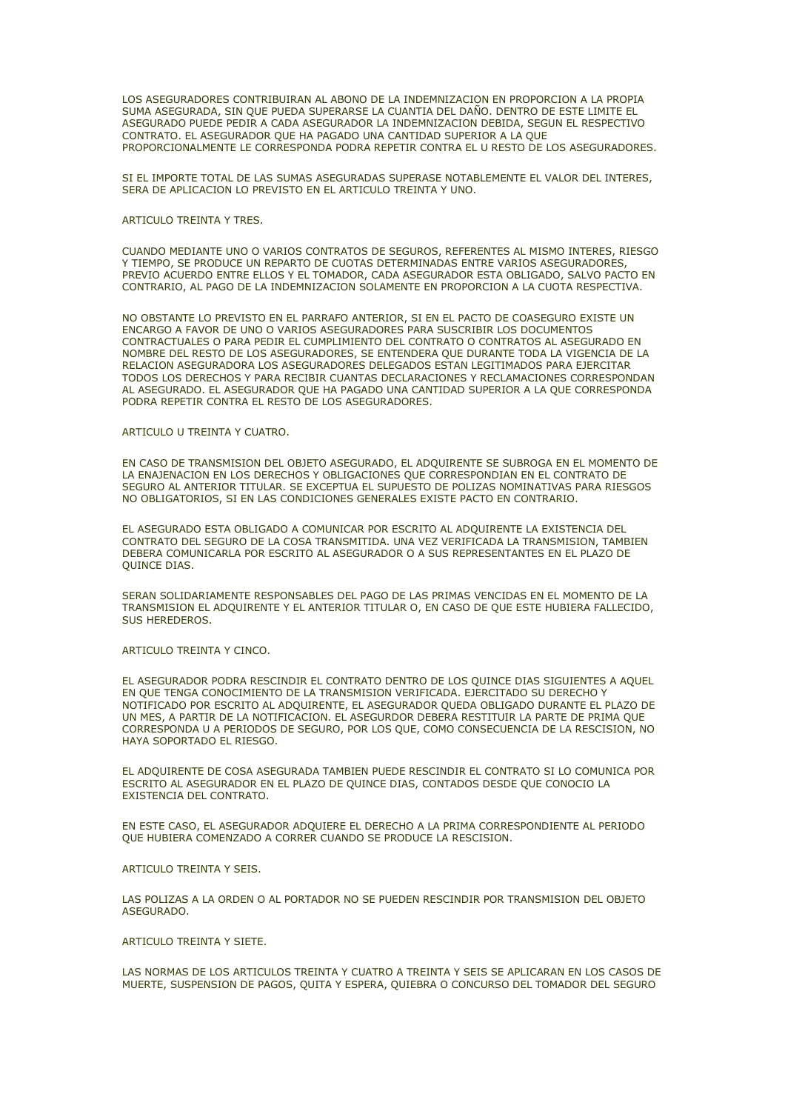LOS ASEGURADORES CONTRIBUIRAN AL ABONO DE LA INDEMNIZACION EN PROPORCION A LA PROPIA SUMA ASEGURADA, SIN QUE PUEDA SUPERARSE LA CUANTIA DEL DAÑO. DENTRO DE ESTE LIMITE EL ASEGURADO PUEDE PEDIR A CADA ASEGURADOR LA INDEMNIZACION DEBIDA, SEGUN EL RESPECTIVO CONTRATO. EL ASEGURADOR QUE HA PAGADO UNA CANTIDAD SUPERIOR A LA QUE PROPORCIONALMENTE LE CORRESPONDA PODRA REPETIR CONTRA EL U RESTO DE LOS ASEGURADORES.

SI EL IMPORTE TOTAL DE LAS SUMAS ASEGURADAS SUPERASE NOTABLEMENTE EL VALOR DEL INTERES, SERA DE APLICACION LO PREVISTO EN EL ARTICULO TREINTA Y UNO.

### ARTICULO TREINTA Y TRES.

CUANDO MEDIANTE UNO O VARIOS CONTRATOS DE SEGUROS, REFERENTES AL MISMO INTERES, RIESGO Y TIEMPO, SE PRODUCE UN REPARTO DE CUOTAS DETERMINADAS ENTRE VARIOS ASEGURADORES, PREVIO ACUERDO ENTRE ELLOS Y EL TOMADOR, CADA ASEGURADOR ESTA OBLIGADO, SALVO PACTO EN CONTRARIO, AL PAGO DE LA INDEMNIZACION SOLAMENTE EN PROPORCION A LA CUOTA RESPECTIVA.

NO OBSTANTE LO PREVISTO EN EL PARRAFO ANTERIOR, SI EN EL PACTO DE COASEGURO EXISTE UN ENCARGO A FAVOR DE UNO O VARIOS ASEGURADORES PARA SUSCRIBIR LOS DOCUMENTOS CONTRACTUALES O PARA PEDIR EL CUMPLIMIENTO DEL CONTRATO O CONTRATOS AL ASEGURADO EN NOMBRE DEL RESTO DE LOS ASEGURADORES, SE ENTENDERA QUE DURANTE TODA LA VIGENCIA DE LA RELACION ASEGURADORA LOS ASEGURADORES DELEGADOS ESTAN LEGITIMADOS PARA EJERCITAR TODOS LOS DERECHOS Y PARA RECIBIR CUANTAS DECLARACIONES Y RECLAMACIONES CORRESPONDAN AL ASEGURADO. EL ASEGURADOR QUE HA PAGADO UNA CANTIDAD SUPERIOR A LA QUE CORRESPONDA PODRA REPETIR CONTRA EL RESTO DE LOS ASEGURADORES.

### ARTICULO U TREINTA Y CUATRO.

EN CASO DE TRANSMISION DEL OBJETO ASEGURADO, EL ADQUIRENTE SE SUBROGA EN EL MOMENTO DE LA ENAJENACION EN LOS DERECHOS Y OBLIGACIONES QUE CORRESPONDIAN EN EL CONTRATO DE SEGURO AL ANTERIOR TITULAR. SE EXCEPTUA EL SUPUESTO DE POLIZAS NOMINATIVAS PARA RIESGOS NO OBLIGATORIOS, SI EN LAS CONDICIONES GENERALES EXISTE PACTO EN CONTRARIO.

EL ASEGURADO ESTA OBLIGADO A COMUNICAR POR ESCRITO AL ADQUIRENTE LA EXISTENCIA DEL CONTRATO DEL SEGURO DE LA COSA TRANSMITIDA. UNA VEZ VERIFICADA LA TRANSMISION, TAMBIEN DEBERA COMUNICARLA POR ESCRITO AL ASEGURADOR O A SUS REPRESENTANTES EN EL PLAZO DE QUINCE DIAS.

SERAN SOLIDARIAMENTE RESPONSABLES DEL PAGO DE LAS PRIMAS VENCIDAS EN EL MOMENTO DE LA TRANSMISION EL ADQUIRENTE Y EL ANTERIOR TITULAR O, EN CASO DE QUE ESTE HUBIERA FALLECIDO, SUS HEREDEROS.

### ARTICULO TREINTA Y CINCO.

EL ASEGURADOR PODRA RESCINDIR EL CONTRATO DENTRO DE LOS QUINCE DIAS SIGUIENTES A AQUEL EN QUE TENGA CONOCIMIENTO DE LA TRANSMISION VERIFICADA. EJERCITADO SU DERECHO Y NOTIFICADO POR ESCRITO AL ADQUIRENTE, EL ASEGURADOR QUEDA OBLIGADO DURANTE EL PLAZO DE UN MES, A PARTIR DE LA NOTIFICACION. EL ASEGURDOR DEBERA RESTITUIR LA PARTE DE PRIMA QUE CORRESPONDA U A PERIODOS DE SEGURO, POR LOS QUE, COMO CONSECUENCIA DE LA RESCISION, NO HAYA SOPORTADO EL RIESGO.

EL ADQUIRENTE DE COSA ASEGURADA TAMBIEN PUEDE RESCINDIR EL CONTRATO SI LO COMUNICA POR ESCRITO AL ASEGURADOR EN EL PLAZO DE QUINCE DIAS, CONTADOS DESDE QUE CONOCIO LA EXISTENCIA DEL CONTRATO.

EN ESTE CASO, EL ASEGURADOR ADQUIERE EL DERECHO A LA PRIMA CORRESPONDIENTE AL PERIODO QUE HUBIERA COMENZADO A CORRER CUANDO SE PRODUCE LA RESCISION.

ARTICULO TREINTA Y SEIS.

LAS POLIZAS A LA ORDEN O AL PORTADOR NO SE PUEDEN RESCINDIR POR TRANSMISION DEL OBJETO **ASEGURADO** 

ARTICULO TREINTA Y SIETE.

LAS NORMAS DE LOS ARTICULOS TREINTA Y CUATRO A TREINTA Y SEIS SE APLICARAN EN LOS CASOS DE MUERTE, SUSPENSION DE PAGOS, QUITA Y ESPERA, QUIEBRA O CONCURSO DEL TOMADOR DEL SEGURO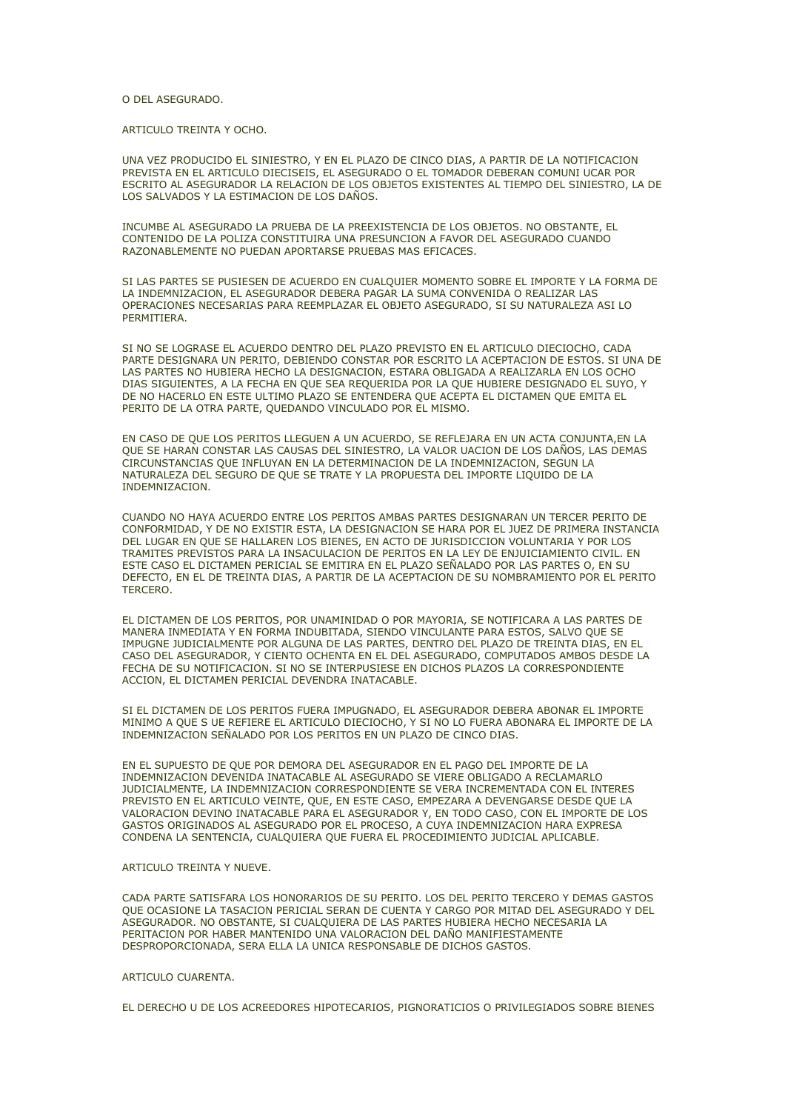#### O DEL ASEGURADO.

ARTICULO TREINTA Y OCHO.

UNA VEZ PRODUCIDO EL SINIESTRO, Y EN EL PLAZO DE CINCO DIAS, A PARTIR DE LA NOTIFICACION PREVISTA EN EL ARTICULO DIECISEIS, EL ASEGURADO O EL TOMADOR DEBERAN COMUNI UCAR POR ESCRITO AL ASEGURADOR LA RELACION DE LOS OBJETOS EXISTENTES AL TIEMPO DEL SINIESTRO, LA DE LOS SALVADOS Y LA ESTIMACION DE LOS DAÑOS.

INCUMBE AL ASEGURADO LA PRUEBA DE LA PREEXISTENCIA DE LOS OBJETOS. NO OBSTANTE, EL CONTENIDO DE LA POLIZA CONSTITUIRA UNA PRESUNCION A FAVOR DEL ASEGURADO CUANDO RAZONABLEMENTE NO PUEDAN APORTARSE PRUEBAS MAS EFICACES.

SI LAS PARTES SE PUSIESEN DE ACUERDO EN CUALQUIER MOMENTO SOBRE EL IMPORTE Y LA FORMA DE LA INDEMNIZACION, EL ASEGURADOR DEBERA PAGAR LA SUMA CONVENIDA O REALIZAR LAS OPERACIONES NECESARIAS PARA REEMPLAZAR EL OBJETO ASEGURADO, SI SU NATURALEZA ASI LO **PERMITIERA** 

SI NO SE LOGRASE EL ACUERDO DENTRO DEL PLAZO PREVISTO EN EL ARTICULO DIECIOCHO, CADA PARTE DESIGNARA UN PERITO, DEBIENDO CONSTAR POR ESCRITO LA ACEPTACION DE ESTOS. SI UNA DE LAS PARTES NO HUBIERA HECHO LA DESIGNACION, ESTARA OBLIGADA A REALIZARLA EN LOS OCHO DIAS SIGUIENTES, A LA FECHA EN QUE SEA REQUERIDA POR LA QUE HUBIERE DESIGNADO EL SUYO, Y DE NO HACERLO EN ESTE ULTIMO PLAZO SE ENTENDERA QUE ACEPTA EL DICTAMEN QUE EMITA EL PERITO DE LA OTRA PARTE, QUEDANDO VINCULADO POR EL MISMO.

EN CASO DE QUE LOS PERITOS LLEGUEN A UN ACUERDO, SE REFLEJARA EN UN ACTA CONJUNTA,EN LA QUE SE HARAN CONSTAR LAS CAUSAS DEL SINIESTRO, LA VALOR UACION DE LOS DAÑOS, LAS DEMAS CIRCUNSTANCIAS QUE INFLUYAN EN LA DETERMINACION DE LA INDEMNIZACION, SEGUN LA NATURALEZA DEL SEGURO DE QUE SE TRATE Y LA PROPUESTA DEL IMPORTE LIQUIDO DE LA INDEMNIZACION.

CUANDO NO HAYA ACUERDO ENTRE LOS PERITOS AMBAS PARTES DESIGNARAN UN TERCER PERITO DE CONFORMIDAD, Y DE NO EXISTIR ESTA, LA DESIGNACION SE HARA POR EL JUEZ DE PRIMERA INSTANCIA DEL LUGAR EN QUE SE HALLAREN LOS BIENES, EN ACTO DE JURISDICCION VOLUNTARIA Y POR LOS TRAMITES PREVISTOS PARA LA INSACULACION DE PERITOS EN LA LEY DE ENJUICIAMIENTO CIVIL. EN ESTE CASO EL DICTAMEN PERICIAL SE EMITIRA EN EL PLAZO SEÑALADO POR LAS PARTES O, EN SU DEFECTO, EN EL DE TREINTA DIAS, A PARTIR DE LA ACEPTACION DE SU NOMBRAMIENTO POR EL PERITO TERCERO.

EL DICTAMEN DE LOS PERITOS, POR UNAMINIDAD O POR MAYORIA, SE NOTIFICARA A LAS PARTES DE MANERA INMEDIATA Y EN FORMA INDUBITADA, SIENDO VINCULANTE PARA ESTOS, SALVO QUE SE IMPUGNE JUDICIALMENTE POR ALGUNA DE LAS PARTES, DENTRO DEL PLAZO DE TREINTA DIAS, EN EL CASO DEL ASEGURADOR, Y CIENTO OCHENTA EN EL DEL ASEGURADO, COMPUTADOS AMBOS DESDE LA FECHA DE SU NOTIFICACION. SI NO SE INTERPUSIESE EN DICHOS PLAZOS LA CORRESPONDIENTE ACCION, EL DICTAMEN PERICIAL DEVENDRA INATACABLE.

SI EL DICTAMEN DE LOS PERITOS FUERA IMPUGNADO, EL ASEGURADOR DEBERA ABONAR EL IMPORTE MINIMO A QUE S UE REFIERE EL ARTICULO DIECIOCHO, Y SI NO LO FUERA ABONARA EL IMPORTE DE LA INDEMNIZACION SEÑALADO POR LOS PERITOS EN UN PLAZO DE CINCO DIAS.

EN EL SUPUESTO DE QUE POR DEMORA DEL ASEGURADOR EN EL PAGO DEL IMPORTE DE LA INDEMNIZACION DEVENIDA INATACABLE AL ASEGURADO SE VIERE OBLIGADO A RECLAMARLO JUDICIALMENTE, LA INDEMNIZACION CORRESPONDIENTE SE VERA INCREMENTADA CON EL INTERES PREVISTO EN EL ARTICULO VEINTE, QUE, EN ESTE CASO, EMPEZARA A DEVENGARSE DESDE QUE LA VALORACION DEVINO INATACABLE PARA EL ASEGURADOR Y, EN TODO CASO, CON EL IMPORTE DE LOS GASTOS ORIGINADOS AL ASEGURADO POR EL PROCESO, A CUYA INDEMNIZACION HARA EXPRESA CONDENA LA SENTENCIA, CUALQUIERA QUE FUERA EL PROCEDIMIENTO JUDICIAL APLICABLE.

## ARTICULO TREINTA Y NUEVE.

CADA PARTE SATISFARA LOS HONORARIOS DE SU PERITO. LOS DEL PERITO TERCERO Y DEMAS GASTOS QUE OCASIONE LA TASACION PERICIAL SERAN DE CUENTA Y CARGO POR MITAD DEL ASEGURADO Y DEL ASEGURADOR. NO OBSTANTE, SI CUALQUIERA DE LAS PARTES HUBIERA HECHO NECESARIA LA PERITACION POR HABER MANTENIDO UNA VALORACION DEL DAÑO MANIFIESTAMENTE DESPROPORCIONADA, SERA ELLA LA UNICA RESPONSABLE DE DICHOS GASTOS.

### ARTICULO CUARENTA.

EL DERECHO U DE LOS ACREEDORES HIPOTECARIOS, PIGNORATICIOS O PRIVILEGIADOS SOBRE BIENES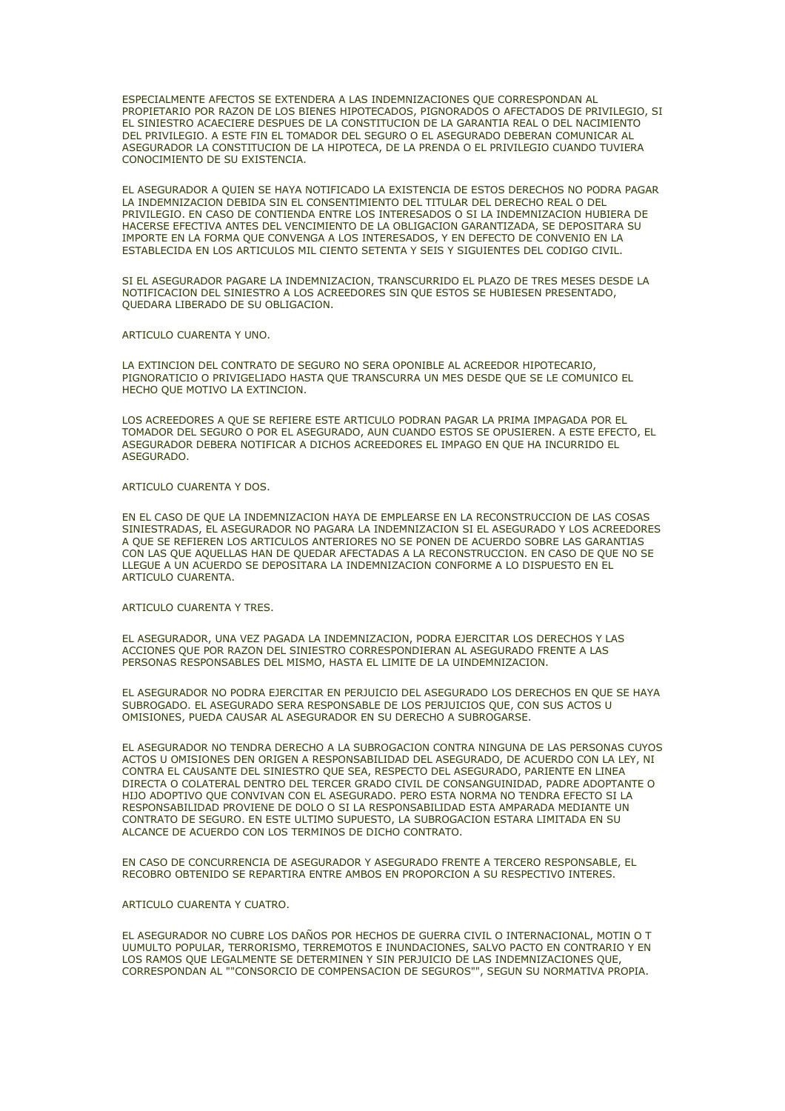ESPECIALMENTE AFECTOS SE EXTENDERA A LAS INDEMNIZACIONES QUE CORRESPONDAN AL PROPIETARIO POR RAZON DE LOS BIENES HIPOTECADOS, PIGNORADOS O AFECTADOS DE PRIVILEGIO, SI EL SINIESTRO ACAECIERE DESPUES DE LA CONSTITUCION DE LA GARANTIA REAL O DEL NACIMIENTO DEL PRIVILEGIO. A ESTE FIN EL TOMADOR DEL SEGURO O EL ASEGURADO DEBERAN COMUNICAR AL ASEGURADOR LA CONSTITUCION DE LA HIPOTECA, DE LA PRENDA O EL PRIVILEGIO CUANDO TUVIERA CONOCIMIENTO DE SU EXISTENCIA.

EL ASEGURADOR A QUIEN SE HAYA NOTIFICADO LA EXISTENCIA DE ESTOS DERECHOS NO PODRA PAGAR LA INDEMNIZACION DEBIDA SIN EL CONSENTIMIENTO DEL TITULAR DEL DERECHO REAL O DEL PRIVILEGIO. EN CASO DE CONTIENDA ENTRE LOS INTERESADOS O SI LA INDEMNIZACION HUBIERA DE HACERSE EFECTIVA ANTES DEL VENCIMIENTO DE LA OBLIGACION GARANTIZADA, SE DEPOSITARA SU IMPORTE EN LA FORMA QUE CONVENGA A LOS INTERESADOS, Y EN DEFECTO DE CONVENIO EN LA ESTABLECIDA EN LOS ARTICULOS MIL CIENTO SETENTA Y SEIS Y SIGUIENTES DEL CODIGO CIVIL.

SI EL ASEGURADOR PAGARE LA INDEMNIZACION, TRANSCURRIDO EL PLAZO DE TRES MESES DESDE LA NOTIFICACION DEL SINIESTRO A LOS ACREEDORES SIN QUE ESTOS SE HUBIESEN PRESENTADO, QUEDARA LIBERADO DE SU OBLIGACION.

ARTICULO CUARENTA Y UNO.

LA EXTINCION DEL CONTRATO DE SEGURO NO SERA OPONIBLE AL ACREEDOR HIPOTECARIO, PIGNORATICIO O PRIVIGELIADO HASTA QUE TRANSCURRA UN MES DESDE QUE SE LE COMUNICO EL HECHO QUE MOTIVO LA EXTINCION.

LOS ACREEDORES A QUE SE REFIERE ESTE ARTICULO PODRAN PAGAR LA PRIMA IMPAGADA POR EL TOMADOR DEL SEGURO O POR EL ASEGURADO, AUN CUANDO ESTOS SE OPUSIEREN. A ESTE EFECTO, EL ASEGURADOR DEBERA NOTIFICAR A DICHOS ACREEDORES EL IMPAGO EN QUE HA INCURRIDO EL ASEGURADO.

# ARTICULO CUARENTA Y DOS

EN EL CASO DE QUE LA INDEMNIZACION HAYA DE EMPLEARSE EN LA RECONSTRUCCION DE LAS COSAS SINIESTRADAS, EL ASEGURADOR NO PAGARA LA INDEMNIZACION SI EL ASEGURADO Y LOS ACREEDORES A QUE SE REFIEREN LOS ARTICULOS ANTERIORES NO SE PONEN DE ACUERDO SOBRE LAS GARANTIAS CON LAS QUE AQUELLAS HAN DE QUEDAR AFECTADAS A LA RECONSTRUCCION. EN CASO DE QUE NO SE LLEGUE A UN ACUERDO SE DEPOSITARA LA INDEMNIZACION CONFORME A LO DISPUESTO EN EL ARTICULO CUARENTA.

# ARTICULO CUARENTA Y TRES.

EL ASEGURADOR, UNA VEZ PAGADA LA INDEMNIZACION, PODRA EJERCITAR LOS DERECHOS Y LAS ACCIONES QUE POR RAZON DEL SINIESTRO CORRESPONDIERAN AL ASEGURADO FRENTE A LAS PERSONAS RESPONSABLES DEL MISMO, HASTA EL LIMITE DE LA UINDEMNIZACION.

EL ASEGURADOR NO PODRA EJERCITAR EN PERJUICIO DEL ASEGURADO LOS DERECHOS EN QUE SE HAYA SUBROGADO. EL ASEGURADO SERA RESPONSABLE DE LOS PERJUICIOS QUE, CON SUS ACTOS U OMISIONES, PUEDA CAUSAR AL ASEGURADOR EN SU DERECHO A SUBROGARSE.

EL ASEGURADOR NO TENDRA DERECHO A LA SUBROGACION CONTRA NINGUNA DE LAS PERSONAS CUYOS ACTOS U OMISIONES DEN ORIGEN A RESPONSABILIDAD DEL ASEGURADO, DE ACUERDO CON LA LEY, NI CONTRA EL CAUSANTE DEL SINIESTRO QUE SEA, RESPECTO DEL ASEGURADO, PARIENTE EN LINEA DIRECTA O COLATERAL DENTRO DEL TERCER GRADO CIVIL DE CONSANGUINIDAD, PADRE ADOPTANTE O HIJO ADOPTIVO QUE CONVIVAN CON EL ASEGURADO. PERO ESTA NORMA NO TENDRA EFECTO SI LA RESPONSABILIDAD PROVIENE DE DOLO O SI LA RESPONSABILIDAD ESTA AMPARADA MEDIANTE UN CONTRATO DE SEGURO. EN ESTE ULTIMO SUPUESTO, LA SUBROGACION ESTARA LIMITADA EN SU ALCANCE DE ACUERDO CON LOS TERMINOS DE DICHO CONTRATO.

EN CASO DE CONCURRENCIA DE ASEGURADOR Y ASEGURADO FRENTE A TERCERO RESPONSABLE, EL RECOBRO OBTENIDO SE REPARTIRA ENTRE AMBOS EN PROPORCION A SU RESPECTIVO INTERES.

## ARTICULO CUARENTA Y CUATRO.

EL ASEGURADOR NO CUBRE LOS DAÑOS POR HECHOS DE GUERRA CIVIL O INTERNACIONAL, MOTIN O T UUMULTO POPULAR, TERRORISMO, TERREMOTOS E INUNDACIONES, SALVO PACTO EN CONTRARIO Y EN LOS RAMOS QUE LEGALMENTE SE DETERMINEN Y SIN PERJUICIO DE LAS INDEMNIZACIONES QUE, CORRESPONDAN AL ""CONSORCIO DE COMPENSACION DE SEGUROS"", SEGUN SU NORMATIVA PROPIA.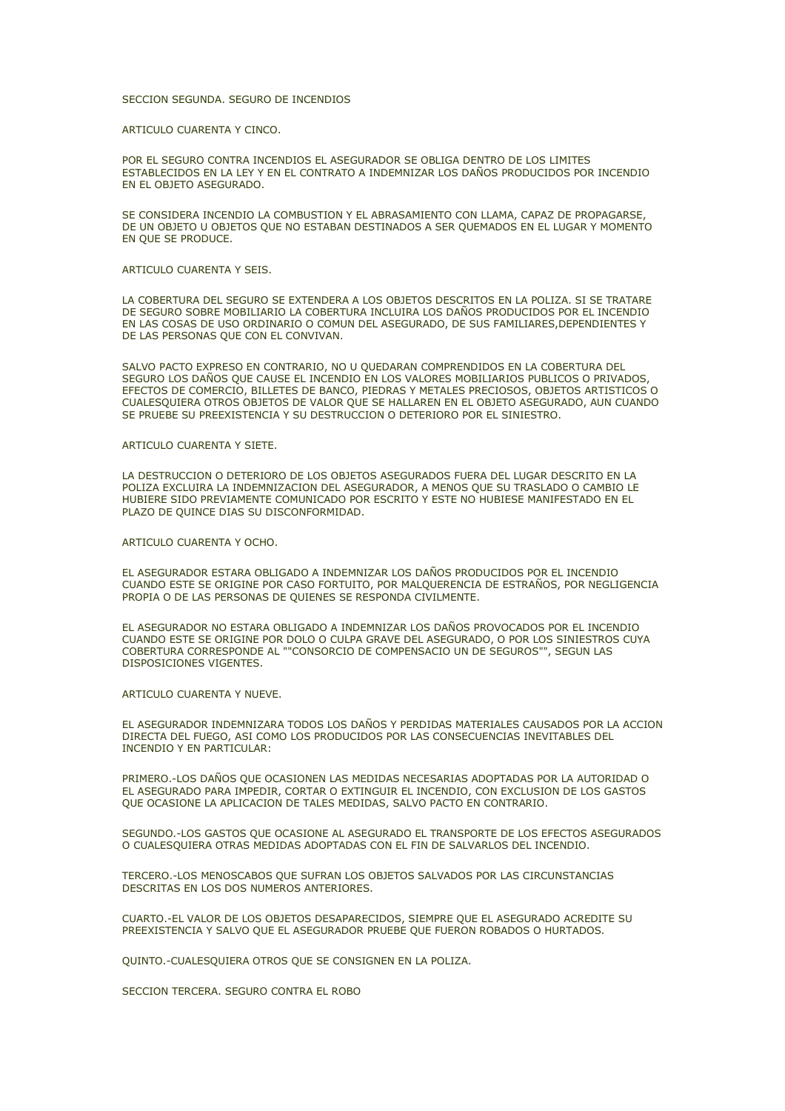#### SECCION SEGUNDA. SEGURO DE INCENDIOS

ARTICULO CUARENTA Y CINCO.

POR EL SEGURO CONTRA INCENDIOS EL ASEGURADOR SE OBLIGA DENTRO DE LOS LIMITES ESTABLECIDOS EN LA LEY Y EN EL CONTRATO A INDEMNIZAR LOS DAÑOS PRODUCIDOS POR INCENDIO EN EL OBJETO ASEGURADO.

SE CONSIDERA INCENDIO LA COMBUSTION Y EL ABRASAMIENTO CON LLAMA, CAPAZ DE PROPAGARSE, DE UN OBJETO U OBJETOS QUE NO ESTABAN DESTINADOS A SER QUEMADOS EN EL LUGAR Y MOMENTO EN OUE SE PRODUCE.

# ARTICULO CUARENTA Y SEIS.

LA COBERTURA DEL SEGURO SE EXTENDERA A LOS OBJETOS DESCRITOS EN LA POLIZA. SI SE TRATARE DE SEGURO SOBRE MOBILIARIO LA COBERTURA INCLUIRA LOS DAÑOS PRODUCIDOS POR EL INCENDIO EN LAS COSAS DE USO ORDINARIO O COMUN DEL ASEGURADO, DE SUS FAMILIARES,DEPENDIENTES Y DE LAS PERSONAS QUE CON EL CONVIVAN.

SALVO PACTO EXPRESO EN CONTRARIO, NO U QUEDARAN COMPRENDIDOS EN LA COBERTURA DEL SEGURO LOS DAÑOS QUE CAUSE EL INCENDIO EN LOS VALORES MOBILIARIOS PUBLICOS O PRIVADOS, EFECTOS DE COMERCIO, BILLETES DE BANCO, PIEDRAS Y METALES PRECIOSOS, OBJETOS ARTISTICOS O CUALESQUIERA OTROS OBJETOS DE VALOR QUE SE HALLAREN EN EL OBJETO ASEGURADO, AUN CUANDO SE PRUEBE SU PREEXISTENCIA Y SU DESTRUCCION O DETERIORO POR EL SINIESTRO.

## ARTICULO CUARENTA Y SIETE.

LA DESTRUCCION O DETERIORO DE LOS OBJETOS ASEGURADOS FUERA DEL LUGAR DESCRITO EN LA POLIZA EXCLUIRA LA INDEMNIZACION DEL ASEGURADOR, A MENOS QUE SU TRASLADO O CAMBIO LE HUBIERE SIDO PREVIAMENTE COMUNICADO POR ESCRITO Y ESTE NO HUBIESE MANIFESTADO EN EL PLAZO DE QUINCE DIAS SU DISCONFORMIDAD.

# ARTICULO CUARENTA Y OCHO.

EL ASEGURADOR ESTARA OBLIGADO A INDEMNIZAR LOS DAÑOS PRODUCIDOS POR EL INCENDIO CUANDO ESTE SE ORIGINE POR CASO FORTUITO, POR MALQUERENCIA DE ESTRAÑOS, POR NEGLIGENCIA PROPIA O DE LAS PERSONAS DE QUIENES SE RESPONDA CIVILMENTE.

EL ASEGURADOR NO ESTARA OBLIGADO A INDEMNIZAR LOS DAÑOS PROVOCADOS POR EL INCENDIO CUANDO ESTE SE ORIGINE POR DOLO O CULPA GRAVE DEL ASEGURADO, O POR LOS SINIESTROS CUYA COBERTURA CORRESPONDE AL ""CONSORCIO DE COMPENSACIO UN DE SEGUROS"", SEGUN LAS DISPOSICIONES VIGENTES.

ARTICULO CUARENTA Y NUEVE.

EL ASEGURADOR INDEMNIZARA TODOS LOS DAÑOS Y PERDIDAS MATERIALES CAUSADOS POR LA ACCION DIRECTA DEL FUEGO, ASI COMO LOS PRODUCIDOS POR LAS CONSECUENCIAS INEVITABLES DEL INCENDIO Y EN PARTICULAR:

PRIMERO.-LOS DAÑOS QUE OCASIONEN LAS MEDIDAS NECESARIAS ADOPTADAS POR LA AUTORIDAD O EL ASEGURADO PARA IMPEDIR, CORTAR O EXTINGUIR EL INCENDIO, CON EXCLUSION DE LOS GASTOS QUE OCASIONE LA APLICACION DE TALES MEDIDAS, SALVO PACTO EN CONTRARIO.

SEGUNDO.-LOS GASTOS QUE OCASIONE AL ASEGURADO EL TRANSPORTE DE LOS EFECTOS ASEGURADOS O CUALESQUIERA OTRAS MEDIDAS ADOPTADAS CON EL FIN DE SALVARLOS DEL INCENDIO.

TERCERO.-LOS MENOSCABOS QUE SUFRAN LOS OBJETOS SALVADOS POR LAS CIRCUNSTANCIAS DESCRITAS EN LOS DOS NUMEROS ANTERIORES.

CUARTO.-EL VALOR DE LOS OBJETOS DESAPARECIDOS, SIEMPRE QUE EL ASEGURADO ACREDITE SU PREEXISTENCIA Y SALVO QUE EL ASEGURADOR PRUEBE QUE FUERON ROBADOS O HURTADOS.

QUINTO.-CUALESQUIERA OTROS QUE SE CONSIGNEN EN LA POLIZA.

SECCION TERCERA. SEGURO CONTRA EL ROBO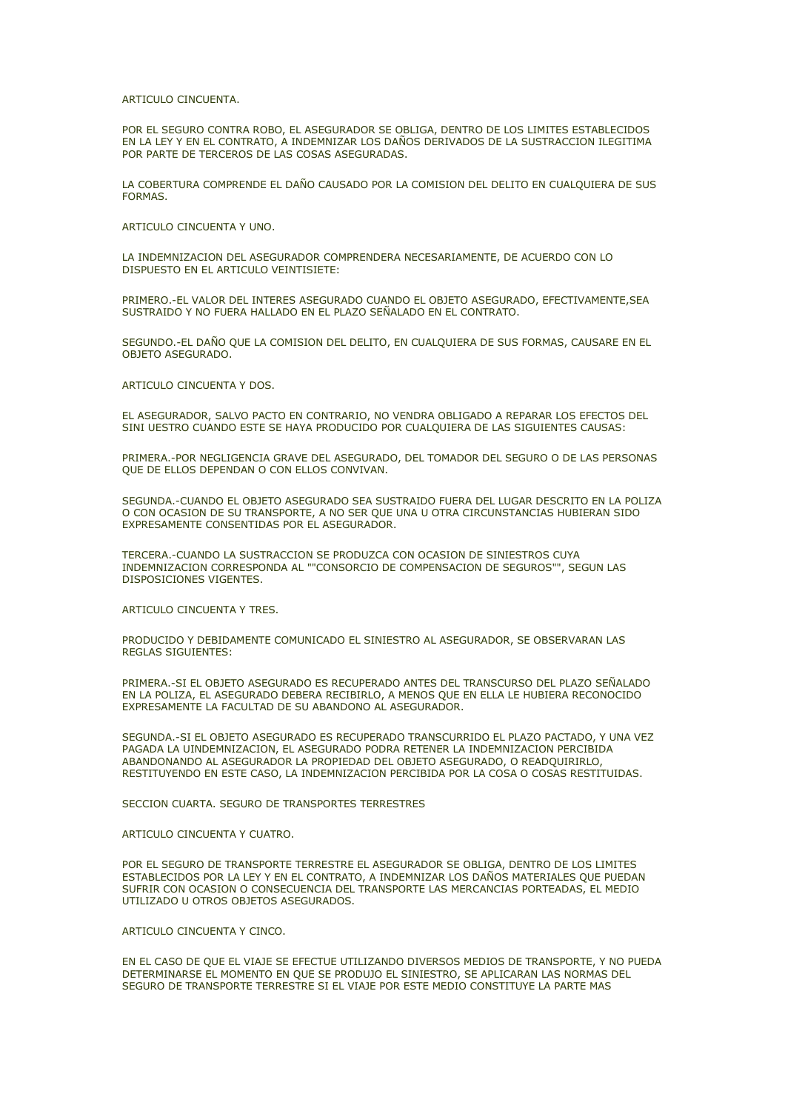ARTICULO CINCUENTA

POR EL SEGURO CONTRA ROBO, EL ASEGURADOR SE OBLIGA, DENTRO DE LOS LIMITES ESTABLECIDOS EN LA LEY Y EN EL CONTRATO, A INDEMNIZAR LOS DAÑOS DERIVADOS DE LA SUSTRACCION ILEGITIMA POR PARTE DE TERCEROS DE LAS COSAS ASEGURADAS.

LA COBERTURA COMPRENDE EL DAÑO CAUSADO POR LA COMISION DEL DELITO EN CUALQUIERA DE SUS FORMAS.

ARTICULO CINCUENTA Y UNO.

LA INDEMNIZACION DEL ASEGURADOR COMPRENDERA NECESARIAMENTE, DE ACUERDO CON LO DISPUESTO EN EL ARTICULO VEINTISIETE:

PRIMERO.-EL VALOR DEL INTERES ASEGURADO CUANDO EL OBJETO ASEGURADO, EFECTIVAMENTE,SEA SUSTRAIDO Y NO FUERA HALLADO EN EL PLAZO SEÑALADO EN EL CONTRATO.

SEGUNDO.-EL DAÑO QUE LA COMISION DEL DELITO, EN CUALQUIERA DE SUS FORMAS, CAUSARE EN EL OBJETO ASEGURADO.

ARTICULO CINCUENTA Y DOS.

EL ASEGURADOR, SALVO PACTO EN CONTRARIO, NO VENDRA OBLIGADO A REPARAR LOS EFECTOS DEL SINI UESTRO CUANDO ESTE SE HAYA PRODUCIDO POR CUALQUIERA DE LAS SIGUIENTES CAUSAS:

PRIMERA.-POR NEGLIGENCIA GRAVE DEL ASEGURADO, DEL TOMADOR DEL SEGURO O DE LAS PERSONAS QUE DE ELLOS DEPENDAN O CON ELLOS CONVIVAN.

SEGUNDA.-CUANDO EL OBJETO ASEGURADO SEA SUSTRAIDO FUERA DEL LUGAR DESCRITO EN LA POLIZA O CON OCASION DE SU TRANSPORTE, A NO SER QUE UNA U OTRA CIRCUNSTANCIAS HUBIERAN SIDO EXPRESAMENTE CONSENTIDAS POR EL ASEGURADOR.

TERCERA.-CUANDO LA SUSTRACCION SE PRODUZCA CON OCASION DE SINIESTROS CUYA INDEMNIZACION CORRESPONDA AL ""CONSORCIO DE COMPENSACION DE SEGUROS"", SEGUN LAS DISPOSICIONES VIGENTES.

ARTICULO CINCUENTA Y TRES

PRODUCIDO Y DEBIDAMENTE COMUNICADO EL SINIESTRO AL ASEGURADOR, SE OBSERVARAN LAS REGLAS SIGUIENTES:

PRIMERA.-SI EL OBJETO ASEGURADO ES RECUPERADO ANTES DEL TRANSCURSO DEL PLAZO SEÑALADO EN LA POLIZA, EL ASEGURADO DEBERA RECIBIRLO, A MENOS QUE EN ELLA LE HUBIERA RECONOCIDO EXPRESAMENTE LA FACULTAD DE SU ABANDONO AL ASEGURADOR.

SEGUNDA.-SI EL OBJETO ASEGURADO ES RECUPERADO TRANSCURRIDO EL PLAZO PACTADO, Y UNA VEZ PAGADA LA UINDEMNIZACION, EL ASEGURADO PODRA RETENER LA INDEMNIZACION PERCIBIDA ABANDONANDO AL ASEGURADOR LA PROPIEDAD DEL OBJETO ASEGURADO, O READQUIRIRLO, RESTITUYENDO EN ESTE CASO, LA INDEMNIZACION PERCIBIDA POR LA COSA O COSAS RESTITUIDAS.

SECCION CUARTA. SEGURO DE TRANSPORTES TERRESTRES

ARTICULO CINCUENTA Y CUATRO.

POR EL SEGURO DE TRANSPORTE TERRESTRE EL ASEGURADOR SE OBLIGA, DENTRO DE LOS LIMITES ESTABLECIDOS POR LA LEY Y EN EL CONTRATO, A INDEMNIZAR LOS DAÑOS MATERIALES QUE PUEDAN SUFRIR CON OCASION O CONSECUENCIA DEL TRANSPORTE LAS MERCANCIAS PORTEADAS, EL MEDIO UTILIZADO U OTROS OBJETOS ASEGURADOS.

ARTICULO CINCUENTA Y CINCO.

EN EL CASO DE QUE EL VIAJE SE EFECTUE UTILIZANDO DIVERSOS MEDIOS DE TRANSPORTE, Y NO PUEDA DETERMINARSE EL MOMENTO EN QUE SE PRODUJO EL SINIESTRO, SE APLICARAN LAS NORMAS DEL SEGURO DE TRANSPORTE TERRESTRE SI EL VIAJE POR ESTE MEDIO CONSTITUYE LA PARTE MAS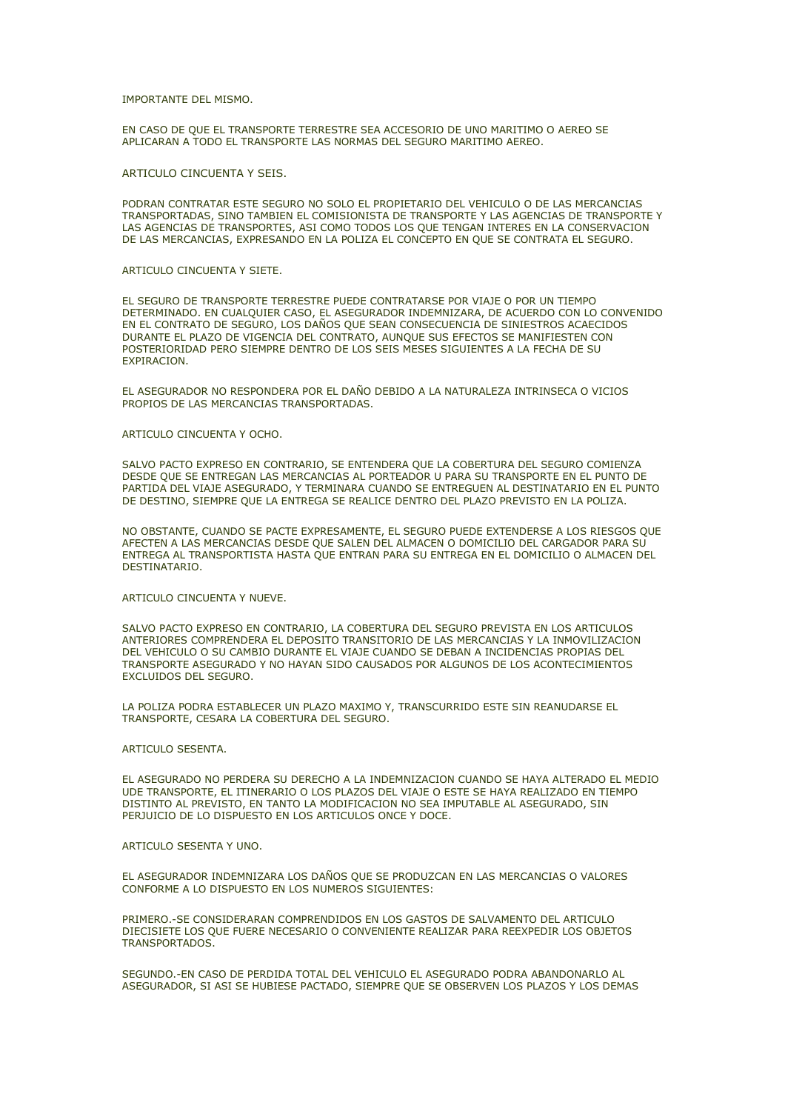#### IMPORTANTE DEL MISMO.

EN CASO DE QUE EL TRANSPORTE TERRESTRE SEA ACCESORIO DE UNO MARITIMO O AEREO SE APLICARAN A TODO EL TRANSPORTE LAS NORMAS DEL SEGURO MARITIMO AEREO.

#### ARTICULO CINCUENTA Y SEIS.

PODRAN CONTRATAR ESTE SEGURO NO SOLO EL PROPIETARIO DEL VEHICULO O DE LAS MERCANCIAS TRANSPORTADAS, SINO TAMBIEN EL COMISIONISTA DE TRANSPORTE Y LAS AGENCIAS DE TRANSPORTE Y LAS AGENCIAS DE TRANSPORTES, ASI COMO TODOS LOS QUE TENGAN INTERES EN LA CONSERVACION DE LAS MERCANCIAS, EXPRESANDO EN LA POLIZA EL CONCEPTO EN QUE SE CONTRATA EL SEGURO.

## ARTICULO CINCUENTA Y SIETE.

EL SEGURO DE TRANSPORTE TERRESTRE PUEDE CONTRATARSE POR VIAJE O POR UN TIEMPO DETERMINADO. EN CUALQUIER CASO, EL ASEGURADOR INDEMNIZARA, DE ACUERDO CON LO CONVENIDO EN EL CONTRATO DE SEGURO, LOS DAÑOS QUE SEAN CONSECUENCIA DE SINIESTROS ACAECIDOS DURANTE EL PLAZO DE VIGENCIA DEL CONTRATO, AUNQUE SUS EFECTOS SE MANIFIESTEN CON POSTERIORIDAD PERO SIEMPRE DENTRO DE LOS SEIS MESES SIGUIENTES A LA FECHA DE SU **EXPIRACION** 

EL ASEGURADOR NO RESPONDERA POR EL DAÑO DEBIDO A LA NATURALEZA INTRINSECA O VICIOS PROPIOS DE LAS MERCANCIAS TRANSPORTADAS.

## ARTICULO CINCUENTA Y OCHO.

SALVO PACTO EXPRESO EN CONTRARIO, SE ENTENDERA QUE LA COBERTURA DEL SEGURO COMIENZA DESDE QUE SE ENTREGAN LAS MERCANCIAS AL PORTEADOR U PARA SU TRANSPORTE EN EL PUNTO DE PARTIDA DEL VIAJE ASEGURADO, Y TERMINARA CUANDO SE ENTREGUEN AL DESTINATARIO EN EL PUNTO DE DESTINO, SIEMPRE QUE LA ENTREGA SE REALICE DENTRO DEL PLAZO PREVISTO EN LA POLIZA.

NO OBSTANTE, CUANDO SE PACTE EXPRESAMENTE, EL SEGURO PUEDE EXTENDERSE A LOS RIESGOS QUE AFECTEN A LAS MERCANCIAS DESDE QUE SALEN DEL ALMACEN O DOMICILIO DEL CARGADOR PARA SU ENTREGA AL TRANSPORTISTA HASTA QUE ENTRAN PARA SU ENTREGA EN EL DOMICILIO O ALMACEN DEL DESTINATARIO.

# ARTICULO CINCUENTA Y NUEVE.

SALVO PACTO EXPRESO EN CONTRARIO, LA COBERTURA DEL SEGURO PREVISTA EN LOS ARTICULOS ANTERIORES COMPRENDERA EL DEPOSITO TRANSITORIO DE LAS MERCANCIAS Y LA INMOVILIZACION DEL VEHICULO O SU CAMBIO DURANTE EL VIAJE CUANDO SE DEBAN A INCIDENCIAS PROPIAS DEL TRANSPORTE ASEGURADO Y NO HAYAN SIDO CAUSADOS POR ALGUNOS DE LOS ACONTECIMIENTOS EXCLUIDOS DEL SEGURO.

LA POLIZA PODRA ESTABLECER UN PLAZO MAXIMO Y, TRANSCURRIDO ESTE SIN REANUDARSE EL TRANSPORTE, CESARA LA COBERTURA DEL SEGURO.

## ARTICULO SESENTA.

EL ASEGURADO NO PERDERA SU DERECHO A LA INDEMNIZACION CUANDO SE HAYA ALTERADO EL MEDIO UDE TRANSPORTE, EL ITINERARIO O LOS PLAZOS DEL VIAJE O ESTE SE HAYA REALIZADO EN TIEMPO DISTINTO AL PREVISTO, EN TANTO LA MODIFICACION NO SEA IMPUTABLE AL ASEGURADO, SIN PERJUICIO DE LO DISPUESTO EN LOS ARTICULOS ONCE Y DOCE.

# ARTICULO SESENTA Y UNO.

EL ASEGURADOR INDEMNIZARA LOS DAÑOS QUE SE PRODUZCAN EN LAS MERCANCIAS O VALORES CONFORME A LO DISPUESTO EN LOS NUMEROS SIGUIENTES:

PRIMERO.-SE CONSIDERARAN COMPRENDIDOS EN LOS GASTOS DE SALVAMENTO DEL ARTICULO DIECISIETE LOS QUE FUERE NECESARIO O CONVENIENTE REALIZAR PARA REEXPEDIR LOS OBJETOS TRANSPORTADOS.

SEGUNDO.-EN CASO DE PERDIDA TOTAL DEL VEHICULO EL ASEGURADO PODRA ABANDONARLO AL ASEGURADOR, SI ASI SE HUBIESE PACTADO, SIEMPRE QUE SE OBSERVEN LOS PLAZOS Y LOS DEMAS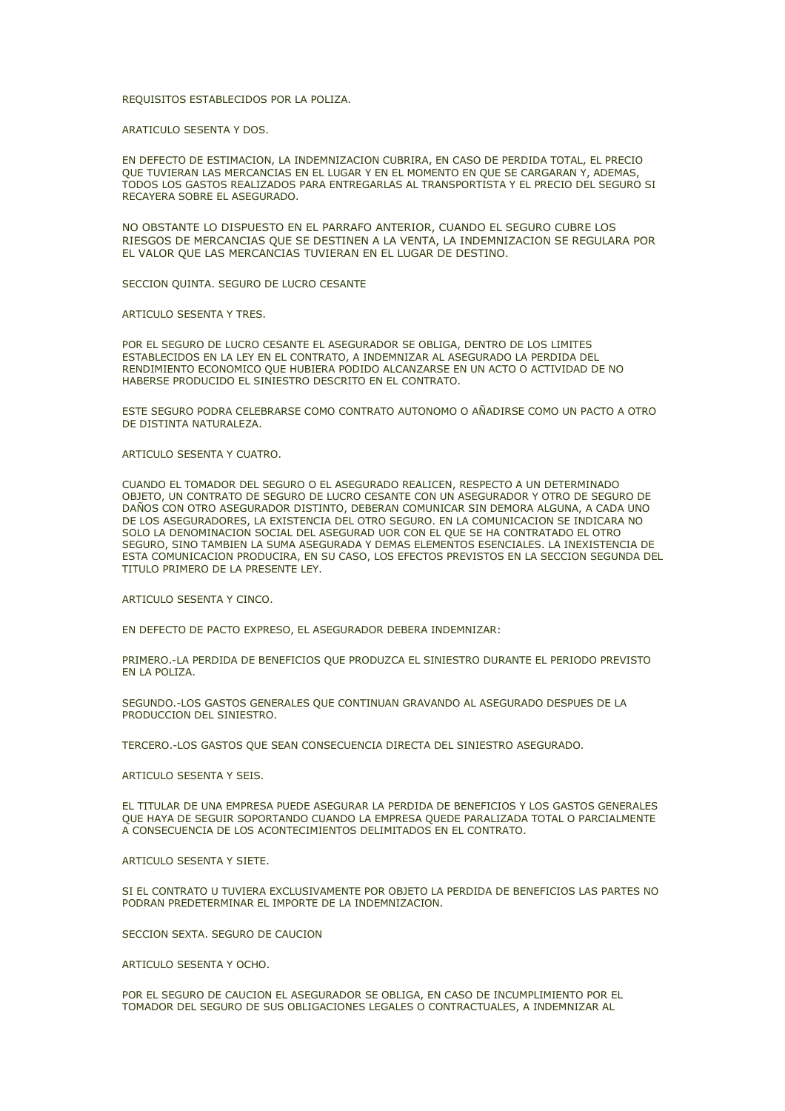#### REQUISITOS ESTABLECIDOS POR LA POLIZA.

ARATICULO SESENTA Y DOS.

EN DEFECTO DE ESTIMACION, LA INDEMNIZACION CUBRIRA, EN CASO DE PERDIDA TOTAL, EL PRECIO QUE TUVIERAN LAS MERCANCIAS EN EL LUGAR Y EN EL MOMENTO EN QUE SE CARGARAN Y, ADEMAS, TODOS LOS GASTOS REALIZADOS PARA ENTREGARLAS AL TRANSPORTISTA Y EL PRECIO DEL SEGURO SI RECAYERA SOBRE EL ASEGURADO.

NO OBSTANTE LO DISPUESTO EN EL PARRAFO ANTERIOR, CUANDO EL SEGURO CUBRE LOS RIESGOS DE MERCANCIAS QUE SE DESTINEN A LA VENTA, LA INDEMNIZACION SE REGULARA POR EL VALOR QUE LAS MERCANCIAS TUVIERAN EN EL LUGAR DE DESTINO.

SECCION QUINTA. SEGURO DE LUCRO CESANTE

ARTICULO SESENTA Y TRES

POR EL SEGURO DE LUCRO CESANTE EL ASEGURADOR SE OBLIGA, DENTRO DE LOS LIMITES ESTABLECIDOS EN LA LEY EN EL CONTRATO, A INDEMNIZAR AL ASEGURADO LA PERDIDA DEL RENDIMIENTO ECONOMICO QUE HUBIERA PODIDO ALCANZARSE EN UN ACTO O ACTIVIDAD DE NO HABERSE PRODUCIDO EL SINIESTRO DESCRITO EN EL CONTRATO.

ESTE SEGURO PODRA CELEBRARSE COMO CONTRATO AUTONOMO O AÑADIRSE COMO UN PACTO A OTRO DE DISTINTA NATURALEZA.

ARTICULO SESENTA Y CUATRO.

CUANDO EL TOMADOR DEL SEGURO O EL ASEGURADO REALICEN, RESPECTO A UN DETERMINADO OBJETO, UN CONTRATO DE SEGURO DE LUCRO CESANTE CON UN ASEGURADOR Y OTRO DE SEGURO DE DAÑOS CON OTRO ASEGURADOR DISTINTO, DEBERAN COMUNICAR SIN DEMORA ALGUNA, A CADA UNO DE LOS ASEGURADORES, LA EXISTENCIA DEL OTRO SEGURO. EN LA COMUNICACION SE INDICARA NO SOLO LA DENOMINACION SOCIAL DEL ASEGURAD UOR CON EL QUE SE HA CONTRATADO EL OTRO SEGURO, SINO TAMBIEN LA SUMA ASEGURADA Y DEMAS ELEMENTOS ESENCIALES. LA INEXISTENCIA DE ESTA COMUNICACION PRODUCIRA, EN SU CASO, LOS EFECTOS PREVISTOS EN LA SECCION SEGUNDA DEL TITULO PRIMERO DE LA PRESENTE LEY.

ARTICULO SESENTA Y CINCO.

EN DEFECTO DE PACTO EXPRESO, EL ASEGURADOR DEBERA INDEMNIZAR:

PRIMERO.-LA PERDIDA DE BENEFICIOS QUE PRODUZCA EL SINIESTRO DURANTE EL PERIODO PREVISTO EN LA POLIZA.

SEGUNDO.-LOS GASTOS GENERALES QUE CONTINUAN GRAVANDO AL ASEGURADO DESPUES DE LA PRODUCCION DEL SINIESTRO.

TERCERO.-LOS GASTOS QUE SEAN CONSECUENCIA DIRECTA DEL SINIESTRO ASEGURADO.

ARTICULO SESENTA Y SEIS

EL TITULAR DE UNA EMPRESA PUEDE ASEGURAR LA PERDIDA DE BENEFICIOS Y LOS GASTOS GENERALES QUE HAYA DE SEGUIR SOPORTANDO CUANDO LA EMPRESA QUEDE PARALIZADA TOTAL O PARCIALMENTE A CONSECUENCIA DE LOS ACONTECIMIENTOS DELIMITADOS EN EL CONTRATO.

ARTICULO SESENTA Y SIETE.

SI EL CONTRATO U TUVIERA EXCLUSIVAMENTE POR OBJETO LA PERDIDA DE BENEFICIOS LAS PARTES NO PODRAN PREDETERMINAR EL IMPORTE DE LA INDEMNIZACION.

SECCION SEXTA. SEGURO DE CAUCION

ARTICULO SESENTA Y OCHO.

POR EL SEGURO DE CAUCION EL ASEGURADOR SE OBLIGA, EN CASO DE INCUMPLIMIENTO POR EL TOMADOR DEL SEGURO DE SUS OBLIGACIONES LEGALES O CONTRACTUALES, A INDEMNIZAR AL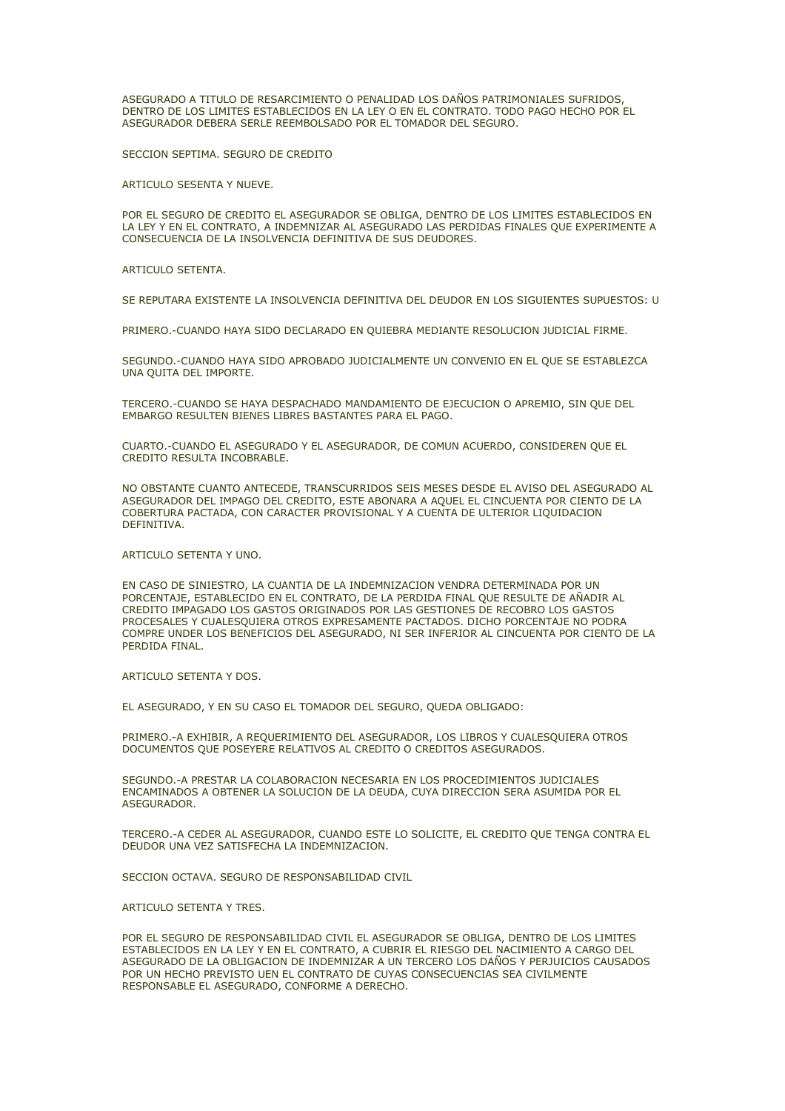ASEGURADO A TITULO DE RESARCIMIENTO O PENALIDAD LOS DAÑOS PATRIMONIALES SUFRIDOS, DENTRO DE LOS LIMITES ESTABLECIDOS EN LA LEY O EN EL CONTRATO. TODO PAGO HECHO POR EL ASEGURADOR DEBERA SERLE REEMBOLSADO POR EL TOMADOR DEL SEGURO.

SECCION SEPTIMA. SEGURO DE CREDITO

ARTICULO SESENTA Y NUEVE.

POR EL SEGURO DE CREDITO EL ASEGURADOR SE OBLIGA, DENTRO DE LOS LIMITES ESTABLECIDOS EN LA LEY Y EN EL CONTRATO, A INDEMNIZAR AL ASEGURADO LAS PERDIDAS FINALES QUE EXPERIMENTE A CONSECUENCIA DE LA INSOLVENCIA DEFINITIVA DE SUS DEUDORES.

ARTICULO SETENTA

SE REPUTARA EXISTENTE LA INSOLVENCIA DEFINITIVA DEL DEUDOR EN LOS SIGUIENTES SUPUESTOS: U

PRIMERO.-CUANDO HAYA SIDO DECLARADO EN QUIEBRA MEDIANTE RESOLUCION JUDICIAL FIRME.

SEGUNDO.-CUANDO HAYA SIDO APROBADO JUDICIALMENTE UN CONVENIO EN EL QUE SE ESTABLEZCA UNA QUITA DEL IMPORTE.

TERCERO.-CUANDO SE HAYA DESPACHADO MANDAMIENTO DE EJECUCION O APREMIO, SIN QUE DEL EMBARGO RESULTEN BIENES LIBRES BASTANTES PARA EL PAGO.

CUARTO.-CUANDO EL ASEGURADO Y EL ASEGURADOR, DE COMUN ACUERDO, CONSIDEREN QUE EL CREDITO RESULTA INCOBRABLE.

NO OBSTANTE CUANTO ANTECEDE, TRANSCURRIDOS SEIS MESES DESDE EL AVISO DEL ASEGURADO AL ASEGURADOR DEL IMPAGO DEL CREDITO, ESTE ABONARA A AQUEL EL CINCUENTA POR CIENTO DE LA COBERTURA PACTADA, CON CARACTER PROVISIONAL Y A CUENTA DE ULTERIOR LIQUIDACION **DEFINITIVA** 

ARTICULO SETENTA Y UNO.

EN CASO DE SINIESTRO, LA CUANTIA DE LA INDEMNIZACION VENDRA DETERMINADA POR UN PORCENTAJE, ESTABLECIDO EN EL CONTRATO, DE LA PERDIDA FINAL QUE RESULTE DE AÑADIR AL CREDITO IMPAGADO LOS GASTOS ORIGINADOS POR LAS GESTIONES DE RECOBRO LOS GASTOS PROCESALES Y CUALESQUIERA OTROS EXPRESAMENTE PACTADOS. DICHO PORCENTAJE NO PODRA COMPRE UNDER LOS BENEFICIOS DEL ASEGURADO, NI SER INFERIOR AL CINCUENTA POR CIENTO DE LA PERDIDA FINAL.

ARTICULO SETENTA Y DOS.

EL ASEGURADO, Y EN SU CASO EL TOMADOR DEL SEGURO, QUEDA OBLIGADO:

PRIMERO.-A EXHIBIR, A REQUERIMIENTO DEL ASEGURADOR, LOS LIBROS Y CUALESQUIERA OTROS DOCUMENTOS QUE POSEYERE RELATIVOS AL CREDITO O CREDITOS ASEGURADOS.

SEGUNDO.-A PRESTAR LA COLABORACION NECESARIA EN LOS PROCEDIMIENTOS JUDICIALES ENCAMINADOS A OBTENER LA SOLUCION DE LA DEUDA, CUYA DIRECCION SERA ASUMIDA POR EL ASEGURADOR.

TERCERO.-A CEDER AL ASEGURADOR, CUANDO ESTE LO SOLICITE, EL CREDITO QUE TENGA CONTRA EL DEUDOR UNA VEZ SATISFECHA LA INDEMNIZACION.

SECCION OCTAVA. SEGURO DE RESPONSABILIDAD CIVIL

ARTICULO SETENTA Y TRES.

POR EL SEGURO DE RESPONSABILIDAD CIVIL EL ASEGURADOR SE OBLIGA, DENTRO DE LOS LIMITES ESTABLECIDOS EN LA LEY Y EN EL CONTRATO, A CUBRIR EL RIESGO DEL NACIMIENTO A CARGO DEL ASEGURADO DE LA OBLIGACION DE INDEMNIZAR A UN TERCERO LOS DAÑOS Y PERJUICIOS CAUSADOS POR UN HECHO PREVISTO UEN EL CONTRATO DE CUYAS CONSECUENCIAS SEA CIVILMENTE RESPONSABLE EL ASEGURADO, CONFORME A DERECHO.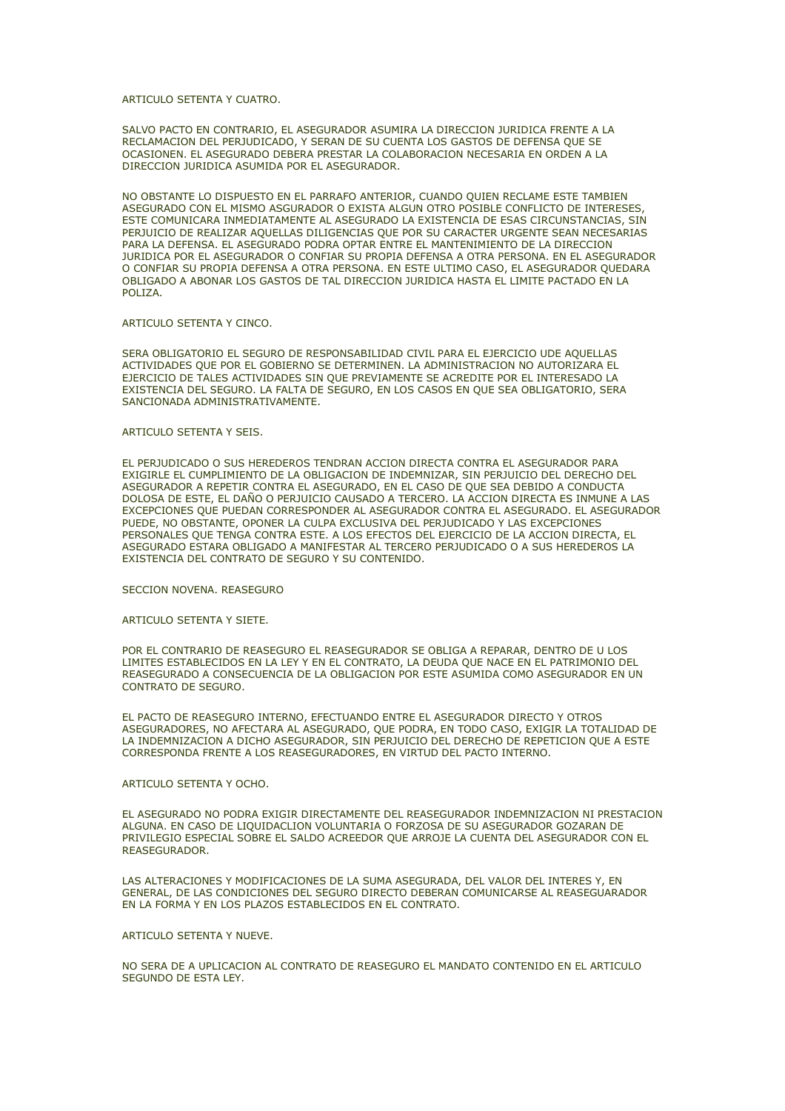#### ARTICULO SETENTA Y CUATRO.

SALVO PACTO EN CONTRARIO, EL ASEGURADOR ASUMIRA LA DIRECCION JURIDICA FRENTE A LA RECLAMACION DEL PERJUDICADO, Y SERAN DE SU CUENTA LOS GASTOS DE DEFENSA QUE SE OCASIONEN. EL ASEGURADO DEBERA PRESTAR LA COLABORACION NECESARIA EN ORDEN A LA DIRECCION JURIDICA ASUMIDA POR EL ASEGURADOR.

NO OBSTANTE LO DISPUESTO EN EL PARRAFO ANTERIOR, CUANDO QUIEN RECLAME ESTE TAMBIEN ASEGURADO CON EL MISMO ASGURADOR O EXISTA ALGUN OTRO POSIBLE CONFLICTO DE INTERESES, ESTE COMUNICARA INMEDIATAMENTE AL ASEGURADO LA EXISTENCIA DE ESAS CIRCUNSTANCIAS, SIN PERJUICIO DE REALIZAR AQUELLAS DILIGENCIAS QUE POR SU CARACTER URGENTE SEAN NECESARIAS PARA LA DEFENSA. EL ASEGURADO PODRA OPTAR ENTRE EL MANTENIMIENTO DE LA DIRECCION JURIDICA POR EL ASEGURADOR O CONFIAR SU PROPIA DEFENSA A OTRA PERSONA. EN EL ASEGURADOR O CONFIAR SU PROPIA DEFENSA A OTRA PERSONA. EN ESTE ULTIMO CASO, EL ASEGURADOR QUEDARA OBLIGADO A ABONAR LOS GASTOS DE TAL DIRECCION JURIDICA HASTA EL LIMITE PACTADO EN LA POLIZA.

# ARTICULO SETENTA Y CINCO.

SERA OBLIGATORIO EL SEGURO DE RESPONSABILIDAD CIVIL PARA EL EJERCICIO UDE AQUELLAS ACTIVIDADES QUE POR EL GOBIERNO SE DETERMINEN. LA ADMINISTRACION NO AUTORIZARA EL EJERCICIO DE TALES ACTIVIDADES SIN QUE PREVIAMENTE SE ACREDITE POR EL INTERESADO LA EXISTENCIA DEL SEGURO. LA FALTA DE SEGURO, EN LOS CASOS EN QUE SEA OBLIGATORIO, SERA SANCIONADA ADMINISTRATIVAMENTE.

#### ARTICULO SETENTA Y SEIS.

EL PERJUDICADO O SUS HEREDEROS TENDRAN ACCION DIRECTA CONTRA EL ASEGURADOR PARA EXIGIRLE EL CUMPLIMIENTO DE LA OBLIGACION DE INDEMNIZAR, SIN PERJUICIO DEL DERECHO DEL ASEGURADOR A REPETIR CONTRA EL ASEGURADO, EN EL CASO DE QUE SEA DEBIDO A CONDUCTA DOLOSA DE ESTE, EL DAÑO O PERJUICIO CAUSADO A TERCERO. LA ACCION DIRECTA ES INMUNE A LAS EXCEPCIONES QUE PUEDAN CORRESPONDER AL ASEGURADOR CONTRA EL ASEGURADO. EL ASEGURADOR PUEDE, NO OBSTANTE, OPONER LA CULPA EXCLUSIVA DEL PERJUDICADO Y LAS EXCEPCIONES PERSONALES QUE TENGA CONTRA ESTE. A LOS EFECTOS DEL EJERCICIO DE LA ACCION DIRECTA, EL ASEGURADO ESTARA OBLIGADO A MANIFESTAR AL TERCERO PERJUDICADO O A SUS HEREDEROS LA EXISTENCIA DEL CONTRATO DE SEGURO Y SU CONTENIDO.

### SECCION NOVENA. REASEGURO

#### ARTICULO SETENTA Y SIETE.

POR EL CONTRARIO DE REASEGURO EL REASEGURADOR SE OBLIGA A REPARAR, DENTRO DE U LOS LIMITES ESTABLECIDOS EN LA LEY Y EN EL CONTRATO, LA DEUDA QUE NACE EN EL PATRIMONIO DEL REASEGURADO A CONSECUENCIA DE LA OBLIGACION POR ESTE ASUMIDA COMO ASEGURADOR EN UN CONTRATO DE SEGURO.

EL PACTO DE REASEGURO INTERNO, EFECTUANDO ENTRE EL ASEGURADOR DIRECTO Y OTROS ASEGURADORES, NO AFECTARA AL ASEGURADO, QUE PODRA, EN TODO CASO, EXIGIR LA TOTALIDAD DE LA INDEMNIZACION A DICHO ASEGURADOR, SIN PERJUICIO DEL DERECHO DE REPETICION QUE A ESTE CORRESPONDA FRENTE A LOS REASEGURADORES, EN VIRTUD DEL PACTO INTERNO.

# ARTICULO SETENTA Y OCHO.

EL ASEGURADO NO PODRA EXIGIR DIRECTAMENTE DEL REASEGURADOR INDEMNIZACION NI PRESTACION ALGUNA. EN CASO DE LIQUIDACLION VOLUNTARIA O FORZOSA DE SU ASEGURADOR GOZARAN DE PRIVILEGIO ESPECIAL SOBRE EL SALDO ACREEDOR QUE ARROJE LA CUENTA DEL ASEGURADOR CON EL REASEGURADOR.

LAS ALTERACIONES Y MODIFICACIONES DE LA SUMA ASEGURADA, DEL VALOR DEL INTERES Y, EN GENERAL, DE LAS CONDICIONES DEL SEGURO DIRECTO DEBERAN COMUNICARSE AL REASEGUARADOR EN LA FORMA Y EN LOS PLAZOS ESTABLECIDOS EN EL CONTRATO.

## ARTICULO SETENTA Y NUEVE

NO SERA DE A UPLICACION AL CONTRATO DE REASEGURO EL MANDATO CONTENIDO EN EL ARTICULO SEGUNDO DE ESTA LEY.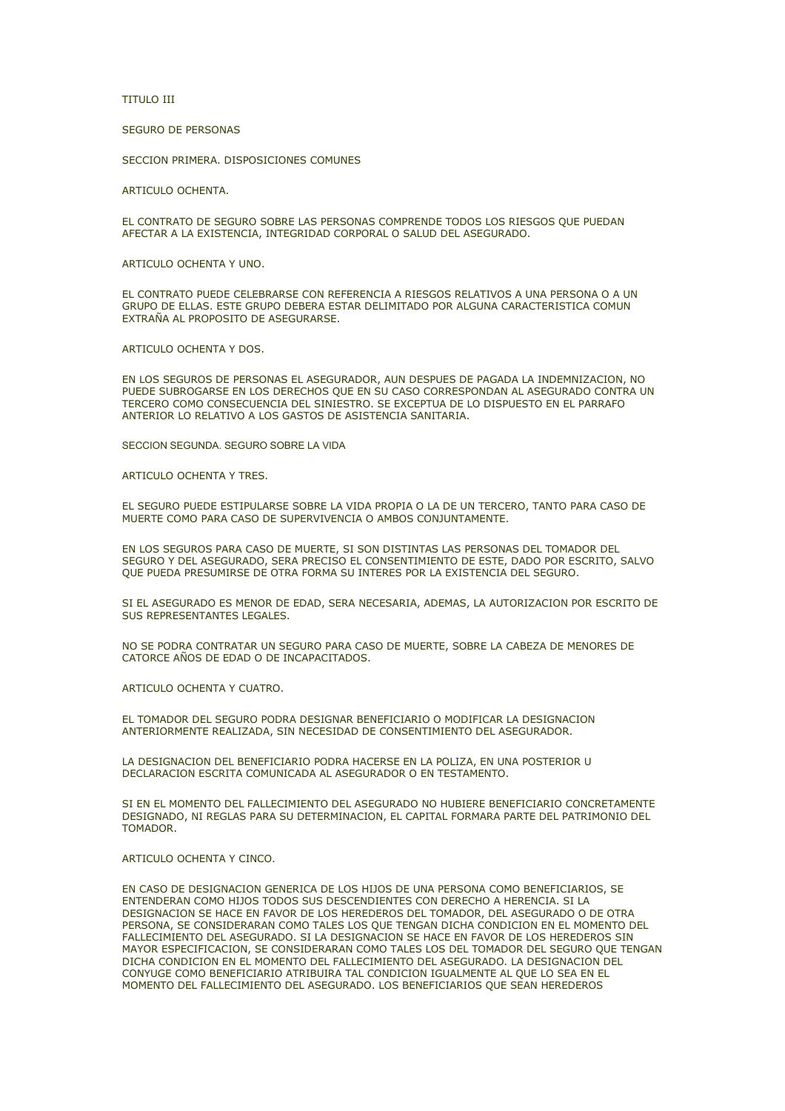# TITULO III

SEGURO DE PERSONAS

SECCION PRIMERA. DISPOSICIONES COMUNES

ARTICULO OCHENTA.

EL CONTRATO DE SEGURO SOBRE LAS PERSONAS COMPRENDE TODOS LOS RIESGOS QUE PUEDAN AFECTAR A LA EXISTENCIA, INTEGRIDAD CORPORAL O SALUD DEL ASEGURADO.

ARTICULO OCHENTA Y UNO.

EL CONTRATO PUEDE CELEBRARSE CON REFERENCIA A RIESGOS RELATIVOS A UNA PERSONA O A UN GRUPO DE ELLAS. ESTE GRUPO DEBERA ESTAR DELIMITADO POR ALGUNA CARACTERISTICA COMUN EXTRAÑA AL PROPOSITO DE ASEGURARSE.

ARTICULO OCHENTA Y DOS.

EN LOS SEGUROS DE PERSONAS EL ASEGURADOR, AUN DESPUES DE PAGADA LA INDEMNIZACION, NO PUEDE SUBROGARSE EN LOS DERECHOS QUE EN SU CASO CORRESPONDAN AL ASEGURADO CONTRA UN TERCERO COMO CONSECUENCIA DEL SINIESTRO. SE EXCEPTUA DE LO DISPUESTO EN EL PARRAFO ANTERIOR LO RELATIVO A LOS GASTOS DE ASISTENCIA SANITARIA.

SECCION SEGUNDA. SEGURO SOBRE LA VIDA

ARTICULO OCHENTA Y TRES.

EL SEGURO PUEDE ESTIPULARSE SOBRE LA VIDA PROPIA O LA DE UN TERCERO, TANTO PARA CASO DE MUERTE COMO PARA CASO DE SUPERVIVENCIA O AMBOS CONJUNTAMENTE.

EN LOS SEGUROS PARA CASO DE MUERTE, SI SON DISTINTAS LAS PERSONAS DEL TOMADOR DEL SEGURO Y DEL ASEGURADO, SERA PRECISO EL CONSENTIMIENTO DE ESTE, DADO POR ESCRITO, SALVO QUE PUEDA PRESUMIRSE DE OTRA FORMA SU INTERES POR LA EXISTENCIA DEL SEGURO.

SI EL ASEGURADO ES MENOR DE EDAD, SERA NECESARIA, ADEMAS, LA AUTORIZACION POR ESCRITO DE SUS REPRESENTANTES LEGALES.

NO SE PODRA CONTRATAR UN SEGURO PARA CASO DE MUERTE, SOBRE LA CABEZA DE MENORES DE CATORCE AÑOS DE EDAD O DE INCAPACITADOS.

ARTICULO OCHENTA Y CUATRO.

EL TOMADOR DEL SEGURO PODRA DESIGNAR BENEFICIARIO O MODIFICAR LA DESIGNACION ANTERIORMENTE REALIZADA, SIN NECESIDAD DE CONSENTIMIENTO DEL ASEGURADOR.

LA DESIGNACION DEL BENEFICIARIO PODRA HACERSE EN LA POLIZA, EN UNA POSTERIOR U DECLARACION ESCRITA COMUNICADA AL ASEGURADOR O EN TESTAMENTO.

SI EN EL MOMENTO DEL FALLECIMIENTO DEL ASEGURADO NO HUBIERE BENEFICIARIO CONCRETAMENTE DESIGNADO, NI REGLAS PARA SU DETERMINACION, EL CAPITAL FORMARA PARTE DEL PATRIMONIO DEL TOMADOR.

## ARTICULO OCHENTA Y CINCO.

EN CASO DE DESIGNACION GENERICA DE LOS HIJOS DE UNA PERSONA COMO BENEFICIARIOS, SE ENTENDERAN COMO HIJOS TODOS SUS DESCENDIENTES CON DERECHO A HERENCIA. SI LA DESIGNACION SE HACE EN FAVOR DE LOS HEREDEROS DEL TOMADOR, DEL ASEGURADO O DE OTRA PERSONA, SE CONSIDERARAN COMO TALES LOS QUE TENGAN DICHA CONDICION EN EL MOMENTO DEL FALLECIMIENTO DEL ASEGURADO. SI LA DESIGNACION SE HACE EN FAVOR DE LOS HEREDEROS SIN MAYOR ESPECIFICACION, SE CONSIDERARAN COMO TALES LOS DEL TOMADOR DEL SEGURO QUE TENGAN DICHA CONDICION EN EL MOMENTO DEL FALLECIMIENTO DEL ASEGURADO. LA DESIGNACION DEL CONYUGE COMO BENEFICIARIO ATRIBUIRA TAL CONDICION IGUALMENTE AL QUE LO SEA EN EL MOMENTO DEL FALLECIMIENTO DEL ASEGURADO. LOS BENEFICIARIOS QUE SEAN HEREDEROS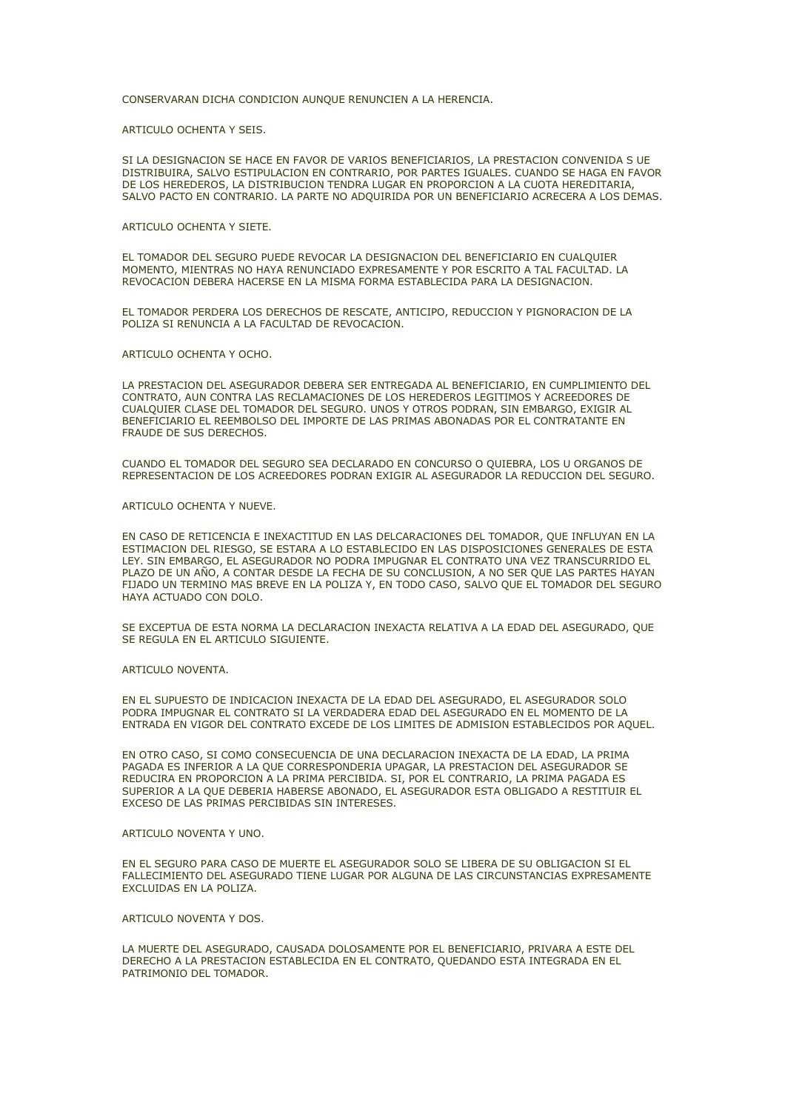CONSERVARAN DICHA CONDICION AUNQUE RENUNCIEN A LA HERENCIA.

ARTICULO OCHENTA Y SEIS.

SI LA DESIGNACION SE HACE EN FAVOR DE VARIOS BENEFICIARIOS, LA PRESTACION CONVENIDA S UE DISTRIBUIRA, SALVO ESTIPULACION EN CONTRARIO, POR PARTES IGUALES. CUANDO SE HAGA EN FAVOR DE LOS HEREDEROS, LA DISTRIBUCION TENDRA LUGAR EN PROPORCION A LA CUOTA HEREDITARIA, SALVO PACTO EN CONTRARIO. LA PARTE NO ADQUIRIDA POR UN BENEFICIARIO ACRECERA A LOS DEMAS.

ARTICULO OCHENTA Y SIETE.

EL TOMADOR DEL SEGURO PUEDE REVOCAR LA DESIGNACION DEL BENEFICIARIO EN CUALQUIER MOMENTO, MIENTRAS NO HAYA RENUNCIADO EXPRESAMENTE Y POR ESCRITO A TAL FACULTAD. LA REVOCACION DEBERA HACERSE EN LA MISMA FORMA ESTABLECIDA PARA LA DESIGNACION.

EL TOMADOR PERDERA LOS DERECHOS DE RESCATE, ANTICIPO, REDUCCION Y PIGNORACION DE LA POLIZA SI RENUNCIA A LA FACULTAD DE REVOCACION.

ARTICULO OCHENTA Y OCHO.

LA PRESTACION DEL ASEGURADOR DEBERA SER ENTREGADA AL BENEFICIARIO, EN CUMPLIMIENTO DEL CONTRATO, AUN CONTRA LAS RECLAMACIONES DE LOS HEREDEROS LEGITIMOS Y ACREEDORES DE CUALQUIER CLASE DEL TOMADOR DEL SEGURO. UNOS Y OTROS PODRAN, SIN EMBARGO, EXIGIR AL BENEFICIARIO EL REEMBOLSO DEL IMPORTE DE LAS PRIMAS ABONADAS POR EL CONTRATANTE EN FRAUDE DE SUS DERECHOS.

CUANDO EL TOMADOR DEL SEGURO SEA DECLARADO EN CONCURSO O QUIEBRA, LOS U ORGANOS DE REPRESENTACION DE LOS ACREEDORES PODRAN EXIGIR AL ASEGURADOR LA REDUCCION DEL SEGURO.

#### ARTICULO OCHENTA Y NUEVE.

EN CASO DE RETICENCIA E INEXACTITUD EN LAS DELCARACIONES DEL TOMADOR, QUE INFLUYAN EN LA ESTIMACION DEL RIESGO, SE ESTARA A LO ESTABLECIDO EN LAS DISPOSICIONES GENERALES DE ESTA LEY. SIN EMBARGO, EL ASEGURADOR NO PODRA IMPUGNAR EL CONTRATO UNA VEZ TRANSCURRIDO EL PLAZO DE UN AÑO, A CONTAR DESDE LA FECHA DE SU CONCLUSION, A NO SER QUE LAS PARTES HAYAN FIJADO UN TERMINO MAS BREVE EN LA POLIZA Y, EN TODO CASO, SALVO QUE EL TOMADOR DEL SEGURO HAYA ACTUADO CON DOLO.

SE EXCEPTUA DE ESTA NORMA LA DECLARACION INEXACTA RELATIVA A LA EDAD DEL ASEGURADO, QUE SE REGULA EN EL ARTICULO SIGUIENTE.

# ARTICULO NOVENTA.

EN EL SUPUESTO DE INDICACION INEXACTA DE LA EDAD DEL ASEGURADO, EL ASEGURADOR SOLO PODRA IMPUGNAR EL CONTRATO SI LA VERDADERA EDAD DEL ASEGURADO EN EL MOMENTO DE LA ENTRADA EN VIGOR DEL CONTRATO EXCEDE DE LOS LIMITES DE ADMISION ESTABLECIDOS POR AQUEL.

EN OTRO CASO, SI COMO CONSECUENCIA DE UNA DECLARACION INEXACTA DE LA EDAD, LA PRIMA PAGADA ES INFERIOR A LA QUE CORRESPONDERIA UPAGAR, LA PRESTACION DEL ASEGURADOR SE REDUCIRA EN PROPORCION A LA PRIMA PERCIBIDA. SI, POR EL CONTRARIO, LA PRIMA PAGADA ES SUPERIOR A LA QUE DEBERIA HABERSE ABONADO, EL ASEGURADOR ESTA OBLIGADO A RESTITUIR EL EXCESO DE LAS PRIMAS PERCIBIDAS SIN INTERESES.

# ARTICULO NOVENTA Y UNO.

EN EL SEGURO PARA CASO DE MUERTE EL ASEGURADOR SOLO SE LIBERA DE SU OBLIGACION SI EL FALLECIMIENTO DEL ASEGURADO TIENE LUGAR POR ALGUNA DE LAS CIRCUNSTANCIAS EXPRESAMENTE EXCLUIDAS EN LA POLIZA.

ARTICULO NOVENTA Y DOS.

LA MUERTE DEL ASEGURADO, CAUSADA DOLOSAMENTE POR EL BENEFICIARIO, PRIVARA A ESTE DEL DERECHO A LA PRESTACION ESTABLECIDA EN EL CONTRATO, QUEDANDO ESTA INTEGRADA EN EL PATRIMONIO DEL TOMADOR.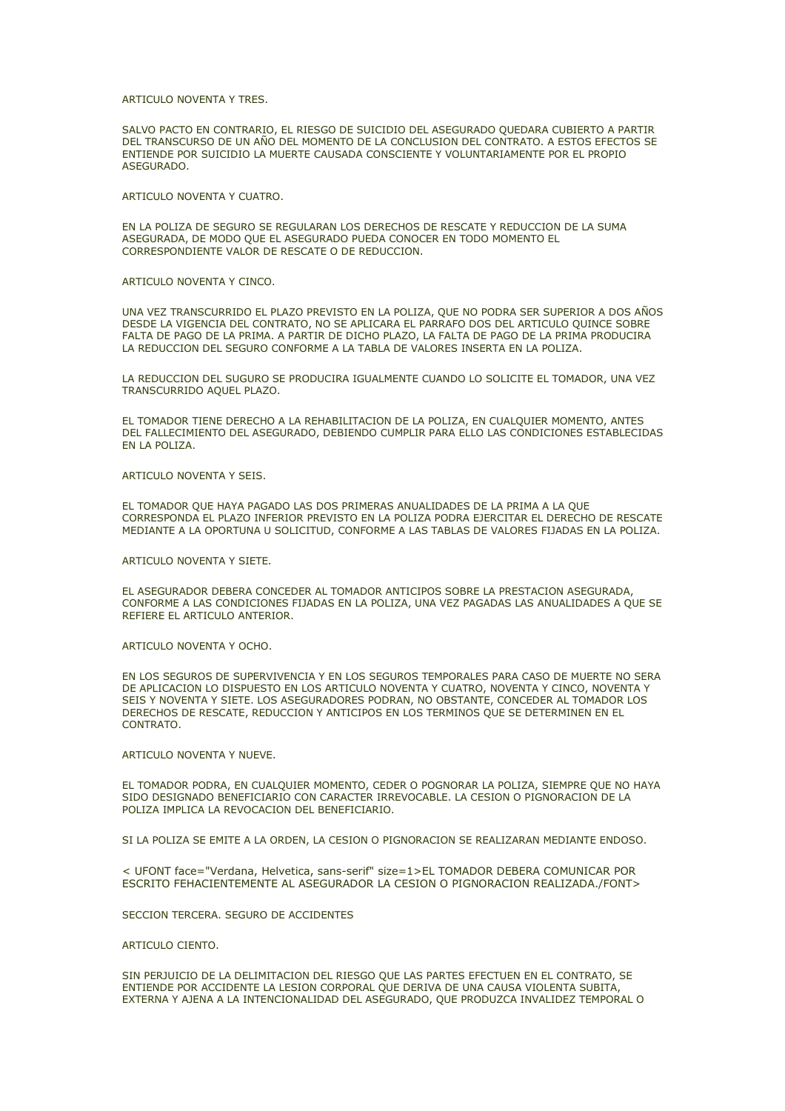ARTICULO NOVENTA Y TRES

SALVO PACTO EN CONTRARIO, EL RIESGO DE SUICIDIO DEL ASEGURADO QUEDARA CUBIERTO A PARTIR DEL TRANSCURSO DE UN AÑO DEL MOMENTO DE LA CONCLUSION DEL CONTRATO. A ESTOS EFECTOS SE ENTIENDE POR SUICIDIO LA MUERTE CAUSADA CONSCIENTE Y VOLUNTARIAMENTE POR EL PROPIO ASEGURADO.

ARTICULO NOVENTA Y CUATRO.

EN LA POLIZA DE SEGURO SE REGULARAN LOS DERECHOS DE RESCATE Y REDUCCION DE LA SUMA ASEGURADA, DE MODO QUE EL ASEGURADO PUEDA CONOCER EN TODO MOMENTO EL CORRESPONDIENTE VALOR DE RESCATE O DE REDUCCION.

ARTICULO NOVENTA Y CINCO.

UNA VEZ TRANSCURRIDO EL PLAZO PREVISTO EN LA POLIZA, QUE NO PODRA SER SUPERIOR A DOS AÑOS DESDE LA VIGENCIA DEL CONTRATO, NO SE APLICARA EL PARRAFO DOS DEL ARTICULO QUINCE SOBRE FALTA DE PAGO DE LA PRIMA. A PARTIR DE DICHO PLAZO, LA FALTA DE PAGO DE LA PRIMA PRODUCIRA LA REDUCCION DEL SEGURO CONFORME A LA TABLA DE VALORES INSERTA EN LA POLIZA.

LA REDUCCION DEL SUGURO SE PRODUCIRA IGUALMENTE CUANDO LO SOLICITE EL TOMADOR, UNA VEZ TRANSCURRIDO AQUEL PLAZO.

EL TOMADOR TIENE DERECHO A LA REHABILITACION DE LA POLIZA, EN CUALQUIER MOMENTO, ANTES DEL FALLECIMIENTO DEL ASEGURADO, DEBIENDO CUMPLIR PARA ELLO LAS CONDICIONES ESTABLECIDAS EN LA POLIZA.

ARTICULO NOVENTA Y SEIS.

EL TOMADOR QUE HAYA PAGADO LAS DOS PRIMERAS ANUALIDADES DE LA PRIMA A LA QUE CORRESPONDA EL PLAZO INFERIOR PREVISTO EN LA POLIZA PODRA EJERCITAR EL DERECHO DE RESCATE MEDIANTE A LA OPORTUNA U SOLICITUD, CONFORME A LAS TABLAS DE VALORES FIJADAS EN LA POLIZA.

ARTICULO NOVENTA Y SIETE.

EL ASEGURADOR DEBERA CONCEDER AL TOMADOR ANTICIPOS SOBRE LA PRESTACION ASEGURADA, CONFORME A LAS CONDICIONES FIJADAS EN LA POLIZA, UNA VEZ PAGADAS LAS ANUALIDADES A QUE SE REFIERE EL ARTICULO ANTERIOR.

ARTICULO NOVENTA Y OCHO.

EN LOS SEGUROS DE SUPERVIVENCIA Y EN LOS SEGUROS TEMPORALES PARA CASO DE MUERTE NO SERA DE APLICACION LO DISPUESTO EN LOS ARTICULO NOVENTA Y CUATRO, NOVENTA Y CINCO, NOVENTA Y SEIS Y NOVENTA Y SIETE. LOS ASEGURADORES PODRAN, NO OBSTANTE, CONCEDER AL TOMADOR LOS DERECHOS DE RESCATE, REDUCCION Y ANTICIPOS EN LOS TERMINOS QUE SE DETERMINEN EN EL **CONTRATO** 

ARTICULO NOVENTA Y NUEVE.

EL TOMADOR PODRA, EN CUALQUIER MOMENTO, CEDER O POGNORAR LA POLIZA, SIEMPRE QUE NO HAYA SIDO DESIGNADO BENEFICIARIO CON CARACTER IRREVOCABLE. LA CESION O PIGNORACION DE LA POLIZA IMPLICA LA REVOCACION DEL BENEFICIARIO.

SI LA POLIZA SE EMITE A LA ORDEN, LA CESION O PIGNORACION SE REALIZARAN MEDIANTE ENDOSO.

< UFONT face="Verdana, Helvetica, sans-serif" size=1>EL TOMADOR DEBERA COMUNICAR POR ESCRITO FEHACIENTEMENTE AL ASEGURADOR LA CESION O PIGNORACION REALIZADA./FONT>

SECCION TERCERA. SEGURO DE ACCIDENTES

ARTICULO CIENTO.

SIN PERJUICIO DE LA DELIMITACION DEL RIESGO QUE LAS PARTES EFECTUEN EN EL CONTRATO, SE ENTIENDE POR ACCIDENTE LA LESION CORPORAL QUE DERIVA DE UNA CAUSA VIOLENTA SUBITA, EXTERNA Y AJENA A LA INTENCIONALIDAD DEL ASEGURADO, QUE PRODUZCA INVALIDEZ TEMPORAL O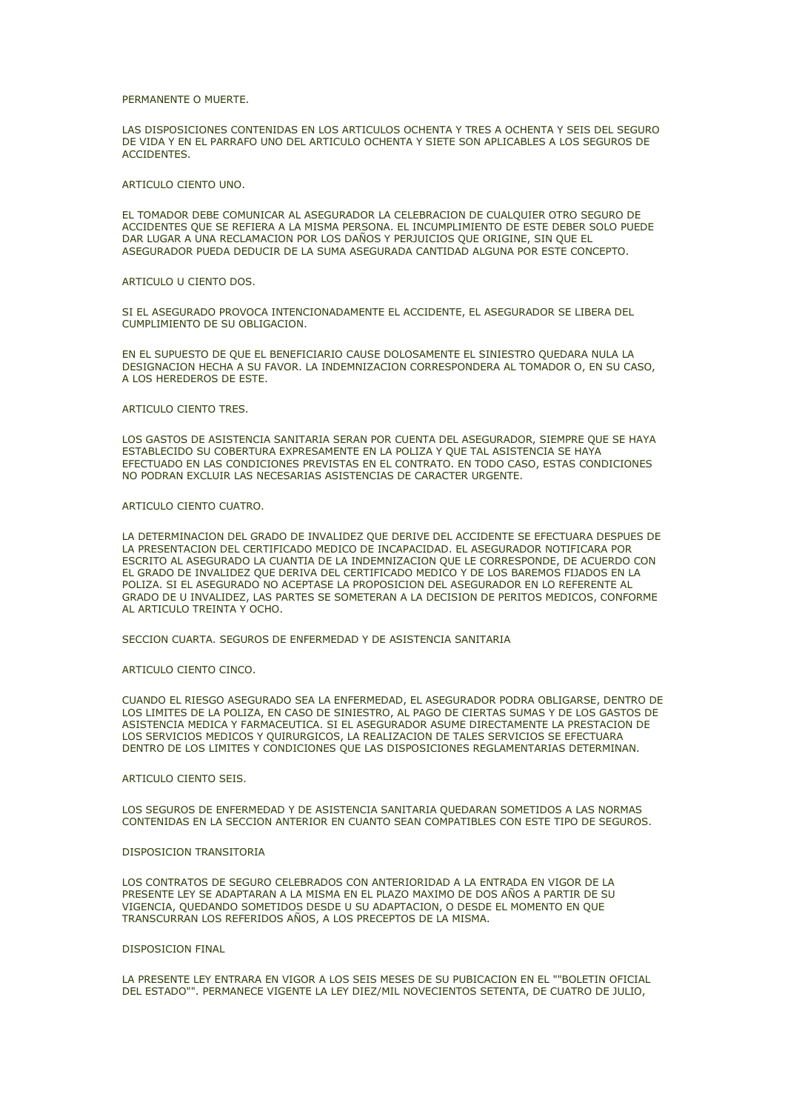#### PERMANENTE O MUERTE.

LAS DISPOSICIONES CONTENIDAS EN LOS ARTICULOS OCHENTA Y TRES A OCHENTA Y SEIS DEL SEGURO DE VIDA Y EN EL PARRAFO UNO DEL ARTICULO OCHENTA Y SIETE SON APLICABLES A LOS SEGUROS DE ACCIDENTES.

### ARTICULO CIENTO UNO.

EL TOMADOR DEBE COMUNICAR AL ASEGURADOR LA CELEBRACION DE CUALQUIER OTRO SEGURO DE ACCIDENTES QUE SE REFIERA A LA MISMA PERSONA. EL INCUMPLIMIENTO DE ESTE DEBER SOLO PUEDE DAR LUGAR A UNA RECLAMACION POR LOS DAÑOS Y PERJUICIOS QUE ORIGINE, SIN QUE EL ASEGURADOR PUEDA DEDUCIR DE LA SUMA ASEGURADA CANTIDAD ALGUNA POR ESTE CONCEPTO.

# ARTICULO U CIENTO DOS.

SI EL ASEGURADO PROVOCA INTENCIONADAMENTE EL ACCIDENTE, EL ASEGURADOR SE LIBERA DEL CUMPLIMIENTO DE SU OBLIGACION.

EN EL SUPUESTO DE QUE EL BENEFICIARIO CAUSE DOLOSAMENTE EL SINIESTRO QUEDARA NULA LA DESIGNACION HECHA A SU FAVOR. LA INDEMNIZACION CORRESPONDERA AL TOMADOR O, EN SU CASO, A LOS HEREDEROS DE ESTE.

### ARTICULO CIENTO TRES.

LOS GASTOS DE ASISTENCIA SANITARIA SERAN POR CUENTA DEL ASEGURADOR, SIEMPRE QUE SE HAYA ESTABLECIDO SU COBERTURA EXPRESAMENTE EN LA POLIZA Y QUE TAL ASISTENCIA SE HAYA EFECTUADO EN LAS CONDICIONES PREVISTAS EN EL CONTRATO. EN TODO CASO, ESTAS CONDICIONES NO PODRAN EXCLUIR LAS NECESARIAS ASISTENCIAS DE CARACTER URGENTE.

#### ARTICULO CIENTO CUATRO.

LA DETERMINACION DEL GRADO DE INVALIDEZ QUE DERIVE DEL ACCIDENTE SE EFECTUARA DESPUES DE LA PRESENTACION DEL CERTIFICADO MEDICO DE INCAPACIDAD. EL ASEGURADOR NOTIFICARA POR ESCRITO AL ASEGURADO LA CUANTIA DE LA INDEMNIZACION QUE LE CORRESPONDE, DE ACUERDO CON EL GRADO DE INVALIDEZ QUE DERIVA DEL CERTIFICADO MEDICO Y DE LOS BAREMOS FIJADOS EN LA POLIZA. SI EL ASEGURADO NO ACEPTASE LA PROPOSICION DEL ASEGURADOR EN LO REFERENTE AL GRADO DE U INVALIDEZ, LAS PARTES SE SOMETERAN A LA DECISION DE PERITOS MEDICOS, CONFORME AL ARTICULO TREINTA Y OCHO.

SECCION CUARTA. SEGUROS DE ENFERMEDAD Y DE ASISTENCIA SANITARIA

# ARTICULO CIENTO CINCO.

CUANDO EL RIESGO ASEGURADO SEA LA ENFERMEDAD, EL ASEGURADOR PODRA OBLIGARSE, DENTRO DE LOS LIMITES DE LA POLIZA, EN CASO DE SINIESTRO, AL PAGO DE CIERTAS SUMAS Y DE LOS GASTOS DE ASISTENCIA MEDICA Y FARMACEUTICA. SI EL ASEGURADOR ASUME DIRECTAMENTE LA PRESTACION DE LOS SERVICIOS MEDICOS Y QUIRURGICOS, LA REALIZACION DE TALES SERVICIOS SE EFECTUARA DENTRO DE LOS LIMITES Y CONDICIONES QUE LAS DISPOSICIONES REGLAMENTARIAS DETERMINAN.

### ARTICULO CIENTO SEIS.

LOS SEGUROS DE ENFERMEDAD Y DE ASISTENCIA SANITARIA QUEDARAN SOMETIDOS A LAS NORMAS CONTENIDAS EN LA SECCION ANTERIOR EN CUANTO SEAN COMPATIBLES CON ESTE TIPO DE SEGUROS.

### DISPOSICION TRANSITORIA

LOS CONTRATOS DE SEGURO CELEBRADOS CON ANTERIORIDAD A LA ENTRADA EN VIGOR DE LA PRESENTE LEY SE ADAPTARAN A LA MISMA EN EL PLAZO MAXIMO DE DOS AÑOS A PARTIR DE SU VIGENCIA, QUEDANDO SOMETIDOS DESDE U SU ADAPTACION, O DESDE EL MOMENTO EN QUE TRANSCURRAN LOS REFERIDOS AÑOS, A LOS PRECEPTOS DE LA MISMA.

### DISPOSICION FINAL

LA PRESENTE LEY ENTRARA EN VIGOR A LOS SEIS MESES DE SU PUBICACION EN EL ""BOLETIN OFICIAL DEL ESTADO"". PERMANECE VIGENTE LA LEY DIEZ/MIL NOVECIENTOS SETENTA, DE CUATRO DE JULIO,